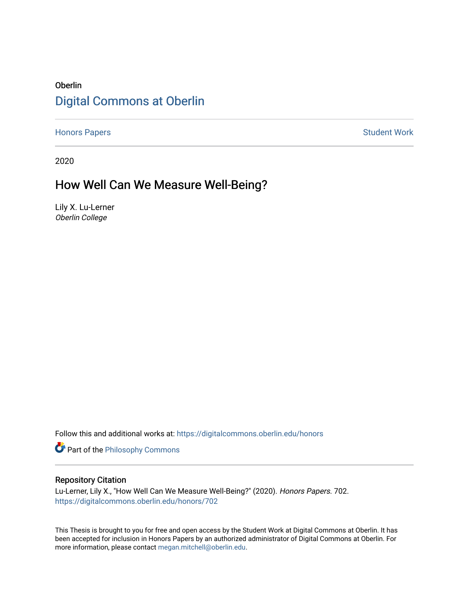# Oberlin [Digital Commons at Oberlin](https://digitalcommons.oberlin.edu/)

[Honors Papers](https://digitalcommons.oberlin.edu/honors) **Student Work** 

2020

# How Well Can We Measure Well-Being?

Lily X. Lu-Lerner Oberlin College

Follow this and additional works at: [https://digitalcommons.oberlin.edu/honors](https://digitalcommons.oberlin.edu/honors?utm_source=digitalcommons.oberlin.edu%2Fhonors%2F702&utm_medium=PDF&utm_campaign=PDFCoverPages) 

Part of the [Philosophy Commons](http://network.bepress.com/hgg/discipline/525?utm_source=digitalcommons.oberlin.edu%2Fhonors%2F702&utm_medium=PDF&utm_campaign=PDFCoverPages) 

#### Repository Citation

Lu-Lerner, Lily X., "How Well Can We Measure Well-Being?" (2020). Honors Papers. 702. [https://digitalcommons.oberlin.edu/honors/702](https://digitalcommons.oberlin.edu/honors/702?utm_source=digitalcommons.oberlin.edu%2Fhonors%2F702&utm_medium=PDF&utm_campaign=PDFCoverPages) 

This Thesis is brought to you for free and open access by the Student Work at Digital Commons at Oberlin. It has been accepted for inclusion in Honors Papers by an authorized administrator of Digital Commons at Oberlin. For more information, please contact [megan.mitchell@oberlin.edu.](mailto:megan.mitchell@oberlin.edu)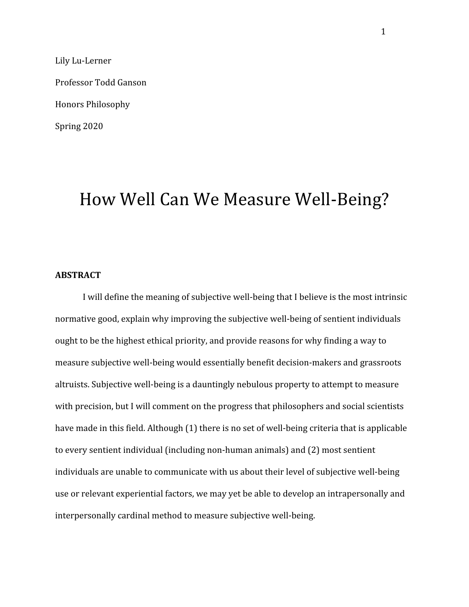Lily Lu-Lerner Professor Todd Ganson Honors Philosophy Spring 2020

# How Well Can We Measure Well-Being?

## **ABSTRACT**

I will define the meaning of subjective well-being that I believe is the most intrinsic normative good, explain why improving the subjective well-being of sentient individuals ought to be the highest ethical priority, and provide reasons for why finding a way to measure subjective well-being would essentially benefit decision-makers and grassroots altruists. Subjective well-being is a dauntingly nebulous property to attempt to measure with precision, but I will comment on the progress that philosophers and social scientists have made in this field. Although (1) there is no set of well-being criteria that is applicable to every sentient individual (including non-human animals) and (2) most sentient individuals are unable to communicate with us about their level of subjective well-being use or relevant experiential factors, we may yet be able to develop an intrapersonally and interpersonally cardinal method to measure subjective well-being.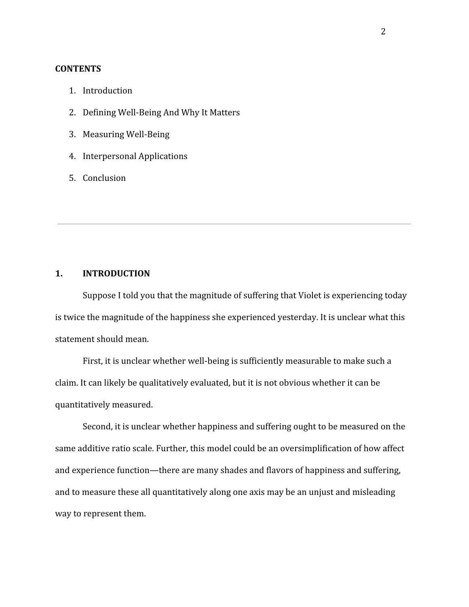# **CONTENTS**

- 1. Introduction
- 2. Defining Well-Being And Why It Matters
- 3. Measuring Well-Being
- 4. Interpersonal Applications
- 5. Conclusion

# **1. INTRODUCTION**

Suppose I told you that the magnitude of suffering that Violet is experiencing today is twice the magnitude of the happiness she experienced yesterday. It is unclear what this statement should mean.

First, it is unclear whether well-being is sufficiently measurable to make such a claim. It can likely be qualitatively evaluated, but it is not obvious whether it can be quantitatively measured.

Second, it is unclear whether happiness and suffering ought to be measured on the same additive ratio scale. Further, this model could be an oversimplification of how affect and experience function—there are many shades and flavors of happiness and suffering, and to measure these all quantitatively along one axis may be an unjust and misleading way to represent them.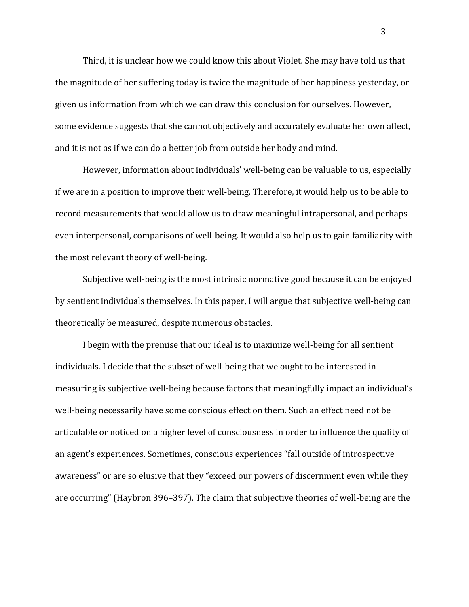Third, it is unclear how we could know this about Violet. She may have told us that the magnitude of her suffering today is twice the magnitude of her happiness yesterday, or given us information from which we can draw this conclusion for ourselves. However, some evidence suggests that she cannot objectively and accurately evaluate her own affect, and it is not as if we can do a better job from outside her body and mind.

However, information about individuals' well-being can be valuable to us, especially if we are in a position to improve their well-being. Therefore, it would help us to be able to record measurements that would allow us to draw meaningful intrapersonal, and perhaps even interpersonal, comparisons of well-being. It would also help us to gain familiarity with the most relevant theory of well-being.

Subjective well-being is the most intrinsic normative good because it can be enjoyed by sentient individuals themselves. In this paper, I will argue that subjective well-being can theoretically be measured, despite numerous obstacles.

I begin with the premise that our ideal is to maximize well-being for all sentient individuals. I decide that the subset of well-being that we ought to be interested in measuring is subjective well-being because factors that meaningfully impact an individual's well-being necessarily have some conscious effect on them. Such an effect need not be articulable or noticed on a higher level of consciousness in order to influence the quality of an agent's experiences. Sometimes, conscious experiences "fall outside of introspective awareness" or are so elusive that they "exceed our powers of discernment even while they are occurring" (Haybron 396–397). The claim that subjective theories of well-being are the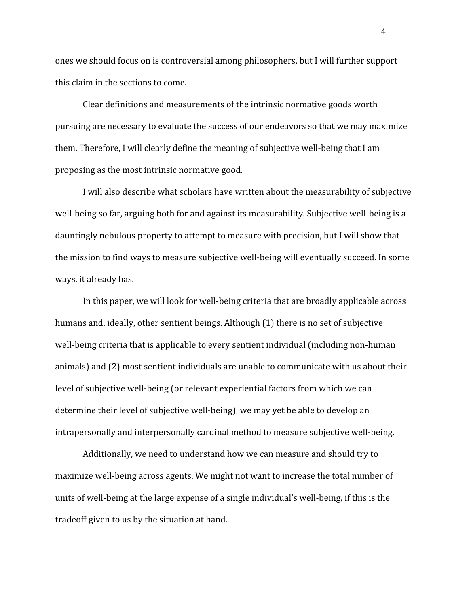ones we should focus on is controversial among philosophers, but I will further support this claim in the sections to come.

Clear definitions and measurements of the intrinsic normative goods worth pursuing are necessary to evaluate the success of our endeavors so that we may maximize them. Therefore, I will clearly define the meaning of subjective well-being that I am proposing as the most intrinsic normative good.

I will also describe what scholars have written about the measurability of subjective well-being so far, arguing both for and against its measurability. Subjective well-being is a dauntingly nebulous property to attempt to measure with precision, but I will show that the mission to find ways to measure subjective well-being will eventually succeed. In some ways, it already has.

In this paper, we will look for well-being criteria that are broadly applicable across humans and, ideally, other sentient beings. Although (1) there is no set of subjective well-being criteria that is applicable to every sentient individual (including non-human animals) and (2) most sentient individuals are unable to communicate with us about their level of subjective well-being (or relevant experiential factors from which we can determine their level of subjective well-being), we may yet be able to develop an intrapersonally and interpersonally cardinal method to measure subjective well-being.

Additionally, we need to understand how we can measure and should try to maximize well-being across agents. We might not want to increase the total number of units of well-being at the large expense of a single individual's well-being, if this is the tradeoff given to us by the situation at hand.

4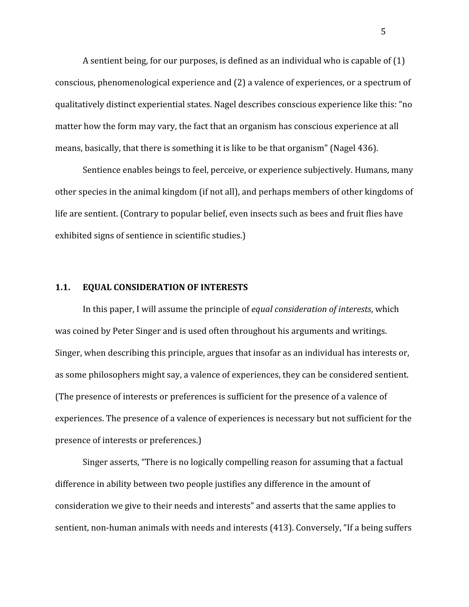A sentient being, for our purposes, is defined as an individual who is capable of (1) conscious, phenomenological experience and (2) a valence of experiences, or a spectrum of qualitatively distinct experiential states. Nagel describes conscious experience like this: "no matter how the form may vary, the fact that an organism has conscious experience at all means, basically, that there is something it is like to be that organism" (Nagel 436).

Sentience enables beings to feel, perceive, or experience subjectively. Humans, many other species in the animal kingdom (if not all), and perhaps members of other kingdoms of life are sentient. (Contrary to popular belief, even insects such as bees and fruit flies have exhibited signs of sentience in scientific studies.)

#### **1.1. EQUAL CONSIDERATION OF INTERESTS**

In this paper, I will assume the principle of *equal consideration of interests*, which was coined by Peter Singer and is used often throughout his arguments and writings. Singer, when describing this principle, argues that insofar as an individual has interests or, as some philosophers might say, a valence of experiences, they can be considered sentient. (The presence of interests or preferences is sufficient for the presence of a valence of experiences. The presence of a valence of experiences is necessary but not sufficient for the presence of interests or preferences.)

Singer asserts, "There is no logically compelling reason for assuming that a factual difference in ability between two people justifies any difference in the amount of consideration we give to their needs and interests" and asserts that the same applies to sentient, non-human animals with needs and interests (413). Conversely, "If a being suffers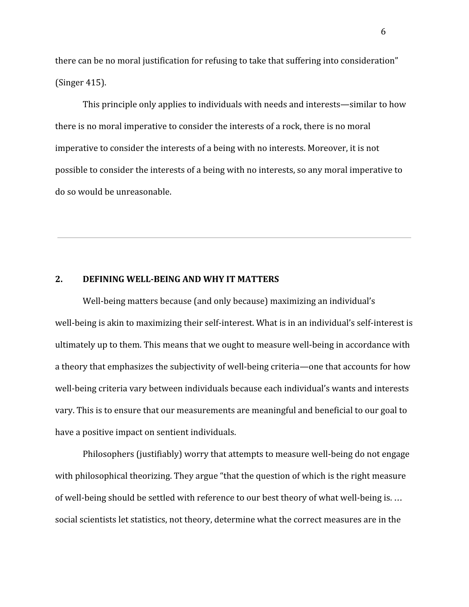there can be no moral justification for refusing to take that suffering into consideration" (Singer 415).

This principle only applies to individuals with needs and interests—similar to how there is no moral imperative to consider the interests of a rock, there is no moral imperative to consider the interests of a being with no interests. Moreover, it is not possible to consider the interests of a being with no interests, so any moral imperative to do so would be unreasonable.

#### **2. DEFINING WELL-BEING AND WHY IT MATTERS**

Well-being matters because (and only because) maximizing an individual's well-being is akin to maximizing their self-interest. What is in an individual's self-interest is ultimately up to them. This means that we ought to measure well-being in accordance with a theory that emphasizes the subjectivity of well-being criteria—one that accounts for how well-being criteria vary between individuals because each individual's wants and interests vary. This is to ensure that our measurements are meaningful and beneficial to our goal to have a positive impact on sentient individuals.

Philosophers (justifiably) worry that attempts to measure well-being do not engage with philosophical theorizing. They argue "that the question of which is the right measure of well-being should be settled with reference to our best theory of what well-being is. … social scientists let statistics, not theory, determine what the correct measures are in the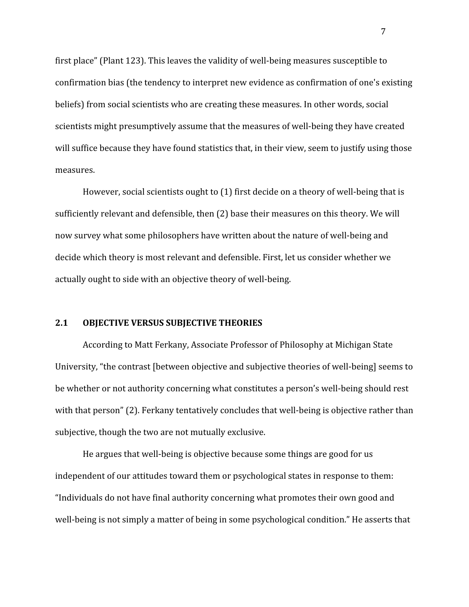first place" (Plant 123). This leaves the validity of well-being measures susceptible to confirmation bias (the tendency to interpret new evidence as confirmation of one's existing beliefs) from social scientists who are creating these measures. In other words, social scientists might presumptively assume that the measures of well-being they have created will suffice because they have found statistics that, in their view, seem to justify using those measures.

However, social scientists ought to (1) first decide on a theory of well-being that is sufficiently relevant and defensible, then (2) base their measures on this theory. We will now survey what some philosophers have written about the nature of well-being and decide which theory is most relevant and defensible. First, let us consider whether we actually ought to side with an objective theory of well-being.

### **2.1 OBJECTIVE VERSUS SUBJECTIVE THEORIES**

According to Matt Ferkany, Associate Professor of Philosophy at Michigan State University, "the contrast [between objective and subjective theories of well-being] seems to be whether or not authority concerning what constitutes a person's well-being should rest with that person" (2). Ferkany tentatively concludes that well-being is objective rather than subjective, though the two are not mutually exclusive.

He argues that well-being is objective because some things are good for us independent of our attitudes toward them or psychological states in response to them: "Individuals do not have final authority concerning what promotes their own good and well-being is not simply a matter of being in some psychological condition." He asserts that

7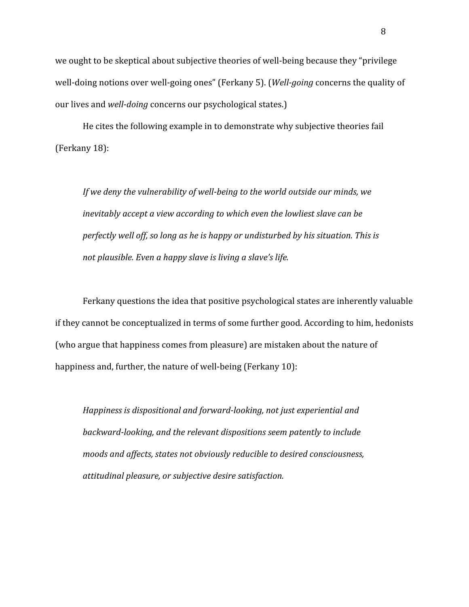we ought to be skeptical about subjective theories of well-being because they "privilege well-doing notions over well-going ones" (Ferkany 5). (*Well-going* concerns the quality of our lives and *well-doing* concerns our psychological states.)

He cites the following example in to demonstrate why subjective theories fail (Ferkany 18):

*If we deny the vulnerability of well-being to the world outside our minds, we inevitably accept a view according to which even the lowliest slave can be perfectly well off, so long as he is happy or undisturbed by his situation. This is not plausible. Even a happy slave is living a slave's life.*

Ferkany questions the idea that positive psychological states are inherently valuable if they cannot be conceptualized in terms of some further good. According to him, hedonists (who argue that happiness comes from pleasure) are mistaken about the nature of happiness and, further, the nature of well-being (Ferkany 10):

*Happiness is dispositional and forward-looking, not just experiential and backward-looking, and the relevant dispositions seem patently to include moods and affects, states not obviously reducible to desired consciousness, attitudinal pleasure, or subjective desire satisfaction.*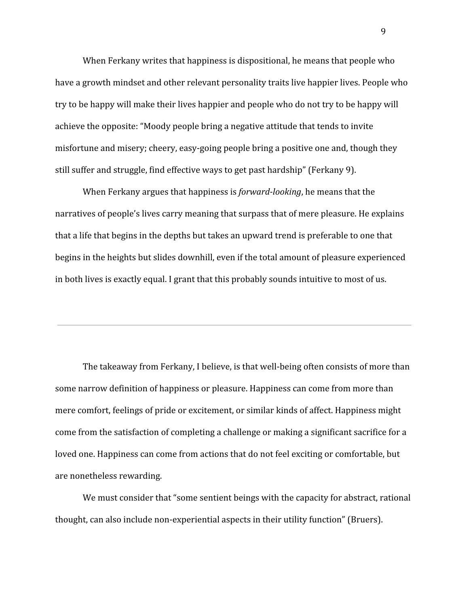When Ferkany writes that happiness is dispositional, he means that people who have a growth mindset and other relevant personality traits live happier lives. People who try to be happy will make their lives happier and people who do not try to be happy will achieve the opposite: "Moody people bring a negative attitude that tends to invite misfortune and misery; cheery, easy-going people bring a positive one and, though they still suffer and struggle, find effective ways to get past hardship" (Ferkany 9).

When Ferkany argues that happiness is *forward-looking*, he means that the narratives of people's lives carry meaning that surpass that of mere pleasure. He explains that a life that begins in the depths but takes an upward trend is preferable to one that begins in the heights but slides downhill, even if the total amount of pleasure experienced in both lives is exactly equal. I grant that this probably sounds intuitive to most of us.

The takeaway from Ferkany, I believe, is that well-being often consists of more than some narrow definition of happiness or pleasure. Happiness can come from more than mere comfort, feelings of pride or excitement, or similar kinds of affect. Happiness might come from the satisfaction of completing a challenge or making a significant sacrifice for a loved one. Happiness can come from actions that do not feel exciting or comfortable, but are nonetheless rewarding.

We must consider that "some sentient beings with the capacity for abstract, rational thought, can also include non-experiential aspects in their utility function" (Bruers).

9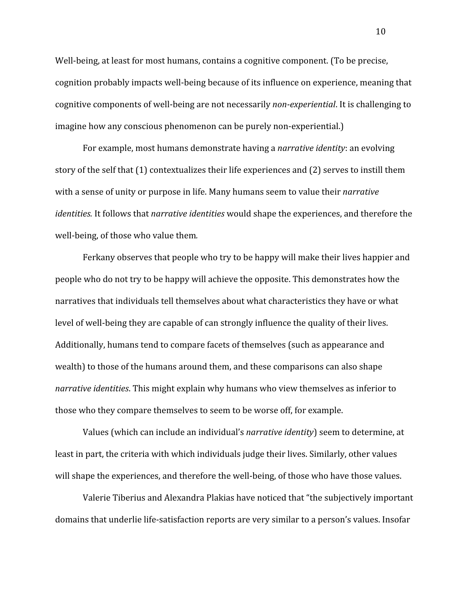Well-being, at least for most humans, contains a cognitive component. (To be precise, cognition probably impacts well-being because of its influence on experience, meaning that cognitive components of well-being are not necessarily *non-experiential*. It is challenging to imagine how any conscious phenomenon can be purely non-experiential.)

For example, most humans demonstrate having a *narrative identity*: an evolving story of the self that (1) contextualizes their life experiences and (2) serves to instill them with a sense of unity or purpose in life. Many humans seem to value their *narrative identities.* It follows that *narrative identities* would shape the experiences, and therefore the well-being, of those who value them*.*

Ferkany observes that people who try to be happy will make their lives happier and people who do not try to be happy will achieve the opposite. This demonstrates how the narratives that individuals tell themselves about what characteristics they have or what level of well-being they are capable of can strongly influence the quality of their lives. Additionally, humans tend to compare facets of themselves (such as appearance and wealth) to those of the humans around them, and these comparisons can also shape *narrative identities*. This might explain why humans who view themselves as inferior to those who they compare themselves to seem to be worse off, for example.

Values (which can include an individual's *narrative identity*) seem to determine, at least in part, the criteria with which individuals judge their lives. Similarly, other values will shape the experiences, and therefore the well-being, of those who have those values.

Valerie Tiberius and Alexandra Plakias have noticed that "the subjectively important domains that underlie life-satisfaction reports are very similar to a person's values. Insofar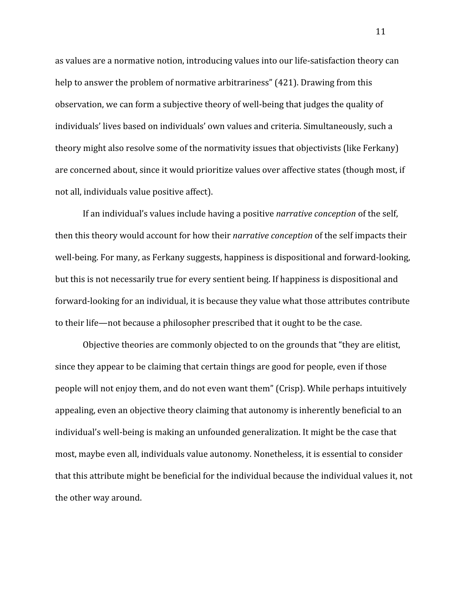as values are a normative notion, introducing values into our life-satisfaction theory can help to answer the problem of normative arbitrariness" (421). Drawing from this observation, we can form a subjective theory of well-being that judges the quality of individuals' lives based on individuals' own values and criteria. Simultaneously, such a theory might also resolve some of the normativity issues that objectivists (like Ferkany) are concerned about, since it would prioritize values over affective states (though most, if not all, individuals value positive affect).

If an individual's values include having a positive *narrative conception* of the self, then this theory would account for how their *narrative conception* of the self impacts their well-being. For many, as Ferkany suggests, happiness is dispositional and forward-looking, but this is not necessarily true for every sentient being. If happiness is dispositional and forward-looking for an individual, it is because they value what those attributes contribute to their life—not because a philosopher prescribed that it ought to be the case.

Objective theories are commonly objected to on the grounds that "they are elitist, since they appear to be claiming that certain things are good for people, even if those people will not enjoy them, and do not even want them" (Crisp). While perhaps intuitively appealing, even an objective theory claiming that autonomy is inherently beneficial to an individual's well-being is making an unfounded generalization. It might be the case that most, maybe even all, individuals value autonomy. Nonetheless, it is essential to consider that this attribute might be beneficial for the individual because the individual values it, not the other way around.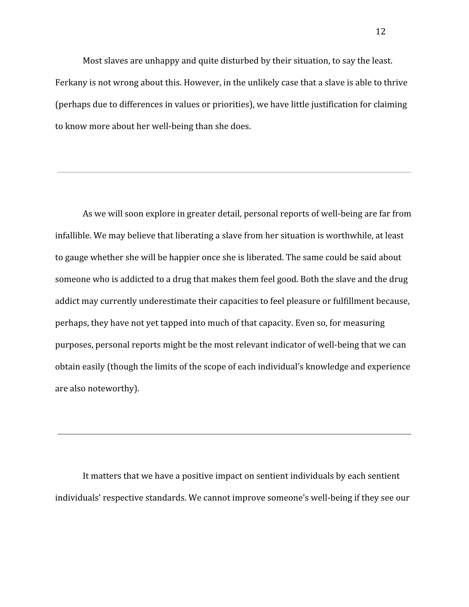Most slaves are unhappy and quite disturbed by their situation, to say the least. Ferkany is not wrong about this. However, in the unlikely case that a slave is able to thrive (perhaps due to differences in values or priorities), we have little justification for claiming to know more about her well-being than she does.

As we will soon explore in greater detail, personal reports of well-being are far from infallible. We may believe that liberating a slave from her situation is worthwhile, at least to gauge whether she will be happier once she is liberated. The same could be said about someone who is addicted to a drug that makes them feel good. Both the slave and the drug addict may currently underestimate their capacities to feel pleasure or fulfillment because, perhaps, they have not yet tapped into much of that capacity. Even so, for measuring purposes, personal reports might be the most relevant indicator of well-being that we can obtain easily (though the limits of the scope of each individual's knowledge and experience are also noteworthy).

It matters that we have a positive impact on sentient individuals by each sentient individuals' respective standards. We cannot improve someone's well-being if they see our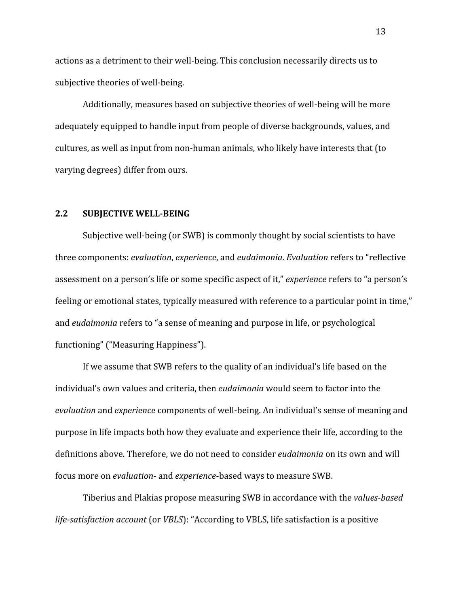actions as a detriment to their well-being. This conclusion necessarily directs us to subjective theories of well-being.

Additionally, measures based on subjective theories of well-being will be more adequately equipped to handle input from people of diverse backgrounds, values, and cultures, as well as input from non-human animals, who likely have interests that (to varying degrees) differ from ours.

#### **2.2 SUBJECTIVE WELL-BEING**

Subjective well-being (or SWB) is commonly thought by social scientists to have three components: *evaluation*, *experience*, and *eudaimonia*. *Evaluation* refers to "reflective assessment on a person's life or some specific aspect of it," *experience* refers to "a person's feeling or emotional states, typically measured with reference to a particular point in time," and *eudaimonia* refers to "a sense of meaning and purpose in life, or psychological functioning" ("Measuring Happiness").

If we assume that SWB refers to the quality of an individual's life based on the individual's own values and criteria, then *eudaimonia* would seem to factor into the *evaluation* and *experience* components of well-being. An individual's sense of meaning and purpose in life impacts both how they evaluate and experience their life, according to the definitions above. Therefore, we do not need to consider *eudaimonia* on its own and will focus more on *evaluation-* and *experience*-based ways to measure SWB.

Tiberius and Plakias propose measuring SWB in accordance with the *values-based life-satisfaction account* (or *VBLS*): "According to VBLS, life satisfaction is a positive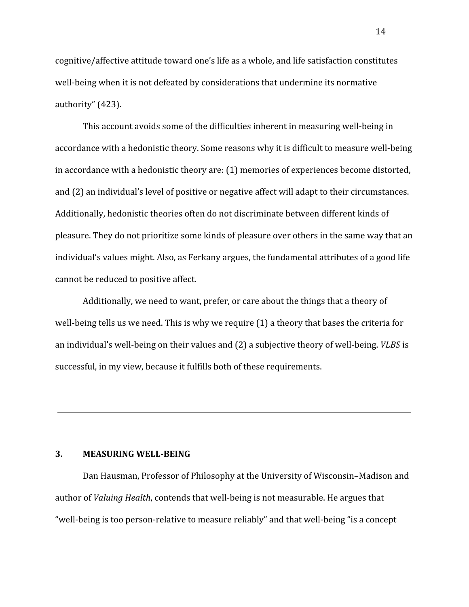cognitive/affective attitude toward one's life as a whole, and life satisfaction constitutes well-being when it is not defeated by considerations that undermine its normative authority" (423).

This account avoids some of the difficulties inherent in measuring well-being in accordance with a hedonistic theory. Some reasons why it is difficult to measure well-being in accordance with a hedonistic theory are: (1) memories of experiences become distorted, and (2) an individual's level of positive or negative affect will adapt to their circumstances. Additionally, hedonistic theories often do not discriminate between different kinds of pleasure. They do not prioritize some kinds of pleasure over others in the same way that an individual's values might. Also, as Ferkany argues, the fundamental attributes of a good life cannot be reduced to positive affect.

Additionally, we need to want, prefer, or care about the things that a theory of well-being tells us we need. This is why we require (1) a theory that bases the criteria for an individual's well-being on their values and (2) a subjective theory of well-being. *VLBS* is successful, in my view, because it fulfills both of these requirements.

#### **3. MEASURING WELL-BEING**

Dan Hausman, Professor of Philosophy at the University of Wisconsin–Madison and author of *Valuing Health*, contends that well-being is not measurable. He argues that "well-being is too person-relative to measure reliably" and that well-being "is a concept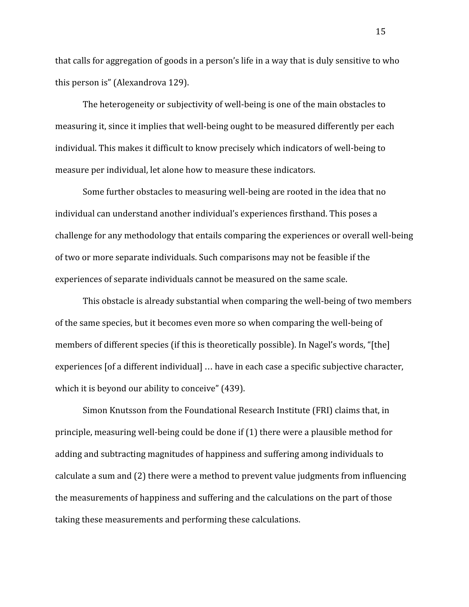that calls for aggregation of goods in a person's life in a way that is duly sensitive to who this person is" (Alexandrova 129).

The heterogeneity or subjectivity of well-being is one of the main obstacles to measuring it, since it implies that well-being ought to be measured differently per each individual. This makes it difficult to know precisely which indicators of well-being to measure per individual, let alone how to measure these indicators.

Some further obstacles to measuring well-being are rooted in the idea that no individual can understand another individual's experiences firsthand. This poses a challenge for any methodology that entails comparing the experiences or overall well-being of two or more separate individuals. Such comparisons may not be feasible if the experiences of separate individuals cannot be measured on the same scale.

This obstacle is already substantial when comparing the well-being of two members of the same species, but it becomes even more so when comparing the well-being of members of different species (if this is theoretically possible). In Nagel's words, "[the] experiences [of a different individual] … have in each case a specific subjective character, which it is beyond our ability to conceive" (439).

Simon Knutsson from the Foundational Research Institute (FRI) claims that, in principle, measuring well-being could be done if (1) there were a plausible method for adding and subtracting magnitudes of happiness and suffering among individuals to calculate a sum and (2) there were a method to prevent value judgments from influencing the measurements of happiness and suffering and the calculations on the part of those taking these measurements and performing these calculations.

15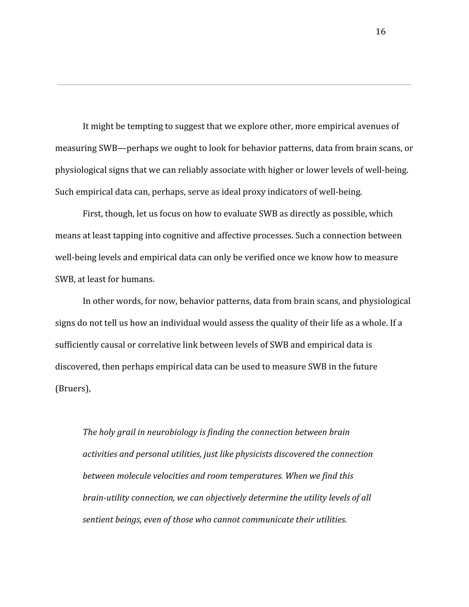It might be tempting to suggest that we explore other, more empirical avenues of measuring SWB—perhaps we ought to look for behavior patterns, data from brain scans, or physiological signs that we can reliably associate with higher or lower levels of well-being. Such empirical data can, perhaps, serve as ideal proxy indicators of well-being.

First, though, let us focus on how to evaluate SWB as directly as possible, which means at least tapping into cognitive and affective processes. Such a connection between well-being levels and empirical data can only be verified once we know how to measure SWB, at least for humans.

In other words, for now, behavior patterns, data from brain scans, and physiological signs do not tell us how an individual would assess the quality of their life as a whole. If a sufficiently causal or correlative link between levels of SWB and empirical data is discovered, then perhaps empirical data can be used to measure SWB in the future (Bruers),

*The holy grail in neurobiology is finding the connection between brain activities and personal utilities, just like physicists discovered the connection between molecule velocities and room temperatures. When we find this brain-utility connection, we can objectively determine the utility levels of all sentient beings, even of those who cannot communicate their utilities.*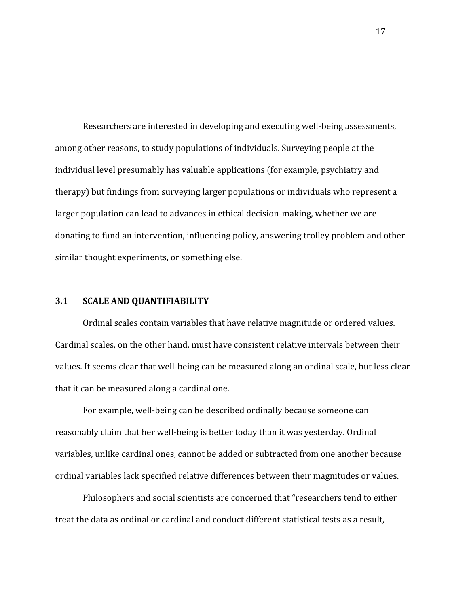Researchers are interested in developing and executing well-being assessments, among other reasons, to study populations of individuals. Surveying people at the individual level presumably has valuable applications (for example, psychiatry and therapy) but findings from surveying larger populations or individuals who represent a larger population can lead to advances in ethical decision-making, whether we are donating to fund an intervention, influencing policy, answering trolley problem and other similar thought experiments, or something else.

#### **3.1 SCALE AND QUANTIFIABILITY**

Ordinal scales contain variables that have relative magnitude or ordered values. Cardinal scales, on the other hand, must have consistent relative intervals between their values. It seems clear that well-being can be measured along an ordinal scale, but less clear that it can be measured along a cardinal one.

For example, well-being can be described ordinally because someone can reasonably claim that her well-being is better today than it was yesterday. Ordinal variables, unlike cardinal ones, cannot be added or subtracted from one another because ordinal variables lack specified relative differences between their magnitudes or values.

Philosophers and social scientists are concerned that "researchers tend to either treat the data as ordinal or cardinal and conduct different statistical tests as a result,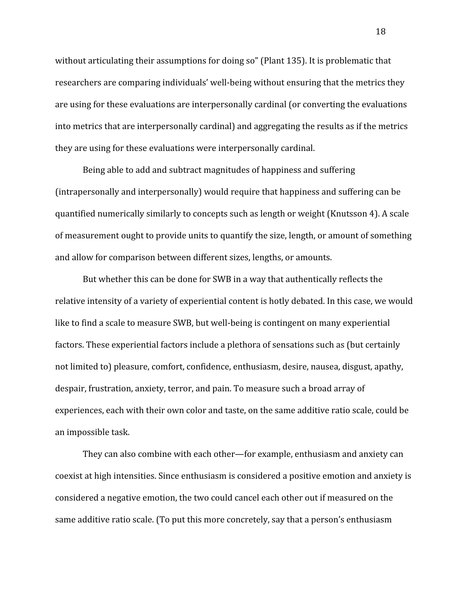without articulating their assumptions for doing so" (Plant 135). It is problematic that researchers are comparing individuals' well-being without ensuring that the metrics they are using for these evaluations are interpersonally cardinal (or converting the evaluations into metrics that are interpersonally cardinal) and aggregating the results as if the metrics they are using for these evaluations were interpersonally cardinal.

Being able to add and subtract magnitudes of happiness and suffering (intrapersonally and interpersonally) would require that happiness and suffering can be quantified numerically similarly to concepts such as length or weight (Knutsson 4). A scale of measurement ought to provide units to quantify the size, length, or amount of something and allow for comparison between different sizes, lengths, or amounts.

But whether this can be done for SWB in a way that authentically reflects the relative intensity of a variety of experiential content is hotly debated. In this case, we would like to find a scale to measure SWB, but well-being is contingent on many experiential factors. These experiential factors include a plethora of sensations such as (but certainly not limited to) pleasure, comfort, confidence, enthusiasm, desire, nausea, disgust, apathy, despair, frustration, anxiety, terror, and pain. To measure such a broad array of experiences, each with their own color and taste, on the same additive ratio scale, could be an impossible task.

They can also combine with each other—for example, enthusiasm and anxiety can coexist at high intensities. Since enthusiasm is considered a positive emotion and anxiety is considered a negative emotion, the two could cancel each other out if measured on the same additive ratio scale. (To put this more concretely, say that a person's enthusiasm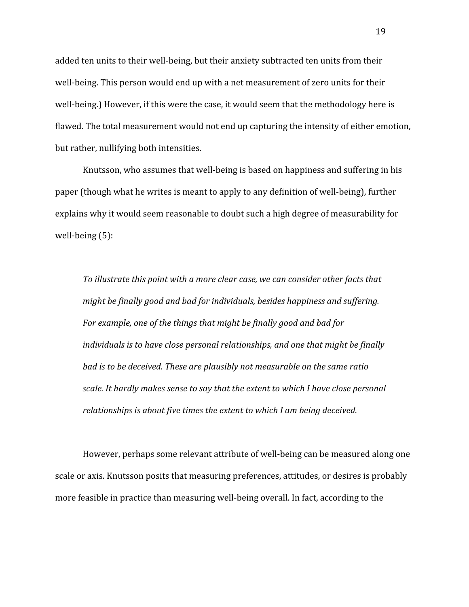added ten units to their well-being, but their anxiety subtracted ten units from their well-being. This person would end up with a net measurement of zero units for their well-being.) However, if this were the case, it would seem that the methodology here is flawed. The total measurement would not end up capturing the intensity of either emotion, but rather, nullifying both intensities.

Knutsson, who assumes that well-being is based on happiness and suffering in his paper (though what he writes is meant to apply to any definition of well-being), further explains why it would seem reasonable to doubt such a high degree of measurability for well-being (5):

*To illustrate this point with a more clear case, we can consider other facts that might be finally good and bad for individuals, besides happiness and suffering. For example, one of the things that might be finally good and bad for individuals is to have close personal relationships, and one that might be finally bad is to be deceived. These are plausibly not measurable on the same ratio scale. It hardly makes sense to say that the extent to which I have close personal relationships is about five times the extent to which I am being deceived.*

However, perhaps some relevant attribute of well-being can be measured along one scale or axis. Knutsson posits that measuring preferences, attitudes, or desires is probably more feasible in practice than measuring well-being overall. In fact, according to the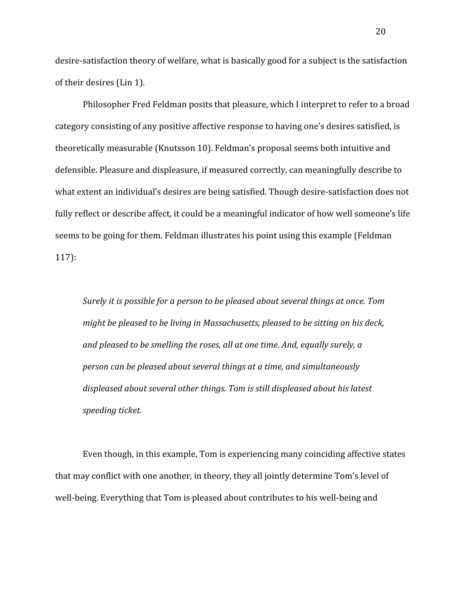desire-satisfaction theory of welfare, what is basically good for a subject is the satisfaction of their desires (Lin 1).

Philosopher Fred Feldman posits that pleasure, which I interpret to refer to a broad category consisting of any positive affective response to having one's desires satisfied, is theoretically measurable (Knutsson 10). Feldman's proposal seems both intuitive and defensible. Pleasure and displeasure, if measured correctly, can meaningfully describe to what extent an individual's desires are being satisfied. Though desire-satisfaction does not fully reflect or describe affect, it could be a meaningful indicator of how well someone's life seems to be going for them. Feldman illustrates his point using this example (Feldman 117):

*Surely it is possible for a person to be pleased about several things at once. Tom might be pleased to be living in Massachusetts, pleased to be sitting on his deck, and pleased to be smelling the roses, all at one time. And, equally surely, a person can be pleased about several things at a time, and simultaneously displeased about several other things. Tom is still displeased about his latest speeding ticket.*

Even though, in this example, Tom is experiencing many coinciding affective states that may conflict with one another, in theory, they all jointly determine Tom's level of well-being. Everything that Tom is pleased about contributes to his well-being and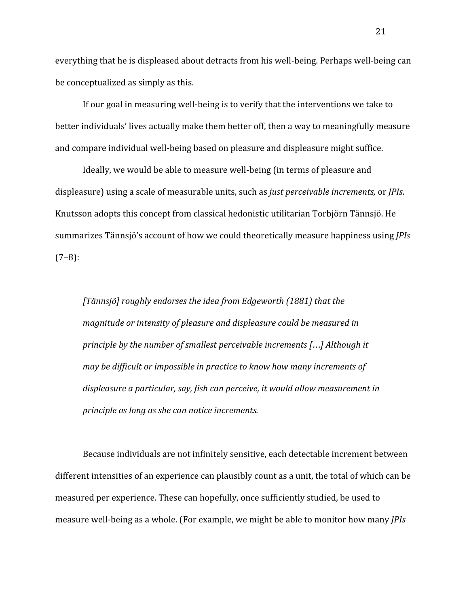everything that he is displeased about detracts from his well-being. Perhaps well-being can be conceptualized as simply as this.

If our goal in measuring well-being is to verify that the interventions we take to better individuals' lives actually make them better off, then a way to meaningfully measure and compare individual well-being based on pleasure and displeasure might suffice.

Ideally, we would be able to measure well-being (in terms of pleasure and displeasure) using a scale of measurable units, such as *just perceivable increments,* or *JPIs*. Knutsson adopts this concept from classical hedonistic utilitarian Torbjörn Tännsjö. He summarizes Tännsjö's account of how we could theoretically measure happiness using *JPIs*  $(7-8)$ :

*[Tännsjö] roughly endorses the idea from Edgeworth (1881) that the magnitude or intensity of pleasure and displeasure could be measured in principle by the number of smallest perceivable increments [*…*] Although it may be difficult or impossible in practice to know how many increments of displeasure a particular, say, fish can perceive, it would allow measurement in principle as long as she can notice increments.*

Because individuals are not infinitely sensitive, each detectable increment between different intensities of an experience can plausibly count as a unit, the total of which can be measured per experience. These can hopefully, once sufficiently studied, be used to measure well-being as a whole. (For example, we might be able to monitor how many *JPIs*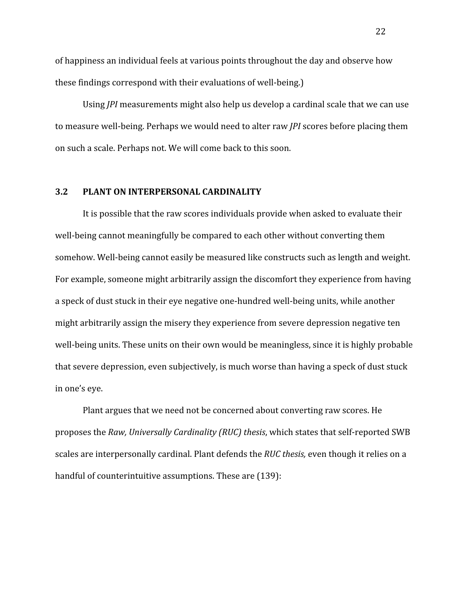of happiness an individual feels at various points throughout the day and observe how these findings correspond with their evaluations of well-being.)

Using *JPI* measurements might also help us develop a cardinal scale that we can use to measure well-being. Perhaps we would need to alter raw *JPI* scores before placing them on such a scale. Perhaps not. We will come back to this soon.

## **3.2 PLANT ON INTERPERSONAL CARDINALITY**

It is possible that the raw scores individuals provide when asked to evaluate their well-being cannot meaningfully be compared to each other without converting them somehow. Well-being cannot easily be measured like constructs such as length and weight. For example, someone might arbitrarily assign the discomfort they experience from having a speck of dust stuck in their eye negative one-hundred well-being units, while another might arbitrarily assign the misery they experience from severe depression negative ten well-being units. These units on their own would be meaningless, since it is highly probable that severe depression, even subjectively, is much worse than having a speck of dust stuck in one's eye.

Plant argues that we need not be concerned about converting raw scores. He proposes the *Raw, Universally Cardinality (RUC) thesis*, which states that self-reported SWB scales are interpersonally cardinal. Plant defends the *RUC thesis,* even though it relies on a handful of counterintuitive assumptions. These are (139):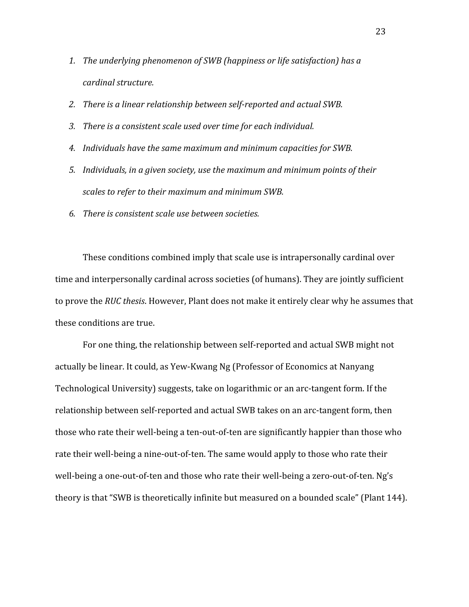- *1. The underlying phenomenon of SWB (happiness or life satisfaction) has a cardinal structure.*
- *2. There is a linear relationship between self-reported and actual SWB.*
- *3. There is a consistent scale used over time for each individual.*
- *4. Individuals have the same maximum and minimum capacities for SWB.*
- *5. Individuals, in a given society, use the maximum and minimum points of their scales to refer to their maximum and minimum SWB.*
- *6. There is consistent scale use between societies.*

These conditions combined imply that scale use is intrapersonally cardinal over time and interpersonally cardinal across societies (of humans). They are jointly sufficient to prove the *RUC thesis*. However, Plant does not make it entirely clear why he assumes that these conditions are true.

For one thing, the relationship between self-reported and actual SWB might not actually be linear. It could, as Yew-Kwang Ng (Professor of Economics at Nanyang Technological University) suggests, take on logarithmic or an arc-tangent form. If the relationship between self-reported and actual SWB takes on an arc-tangent form, then those who rate their well-being a ten-out-of-ten are significantly happier than those who rate their well-being a nine-out-of-ten. The same would apply to those who rate their well-being a one-out-of-ten and those who rate their well-being a zero-out-of-ten. Ng's theory is that "SWB is theoretically infinite but measured on a bounded scale" (Plant 144).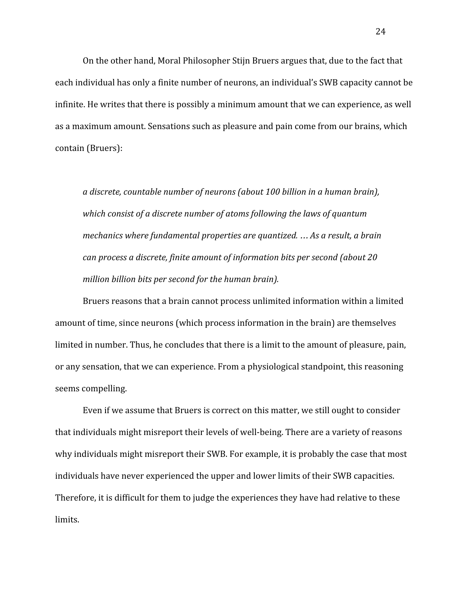On the other hand, Moral Philosopher Stijn Bruers argues that, due to the fact that each individual has only a finite number of neurons, an individual's SWB capacity cannot be infinite. He writes that there is possibly a minimum amount that we can experience, as well as a maximum amount. Sensations such as pleasure and pain come from our brains, which contain (Bruers):

*a discrete, countable number of neurons (about 100 billion in a human brain), which consist of a discrete number of atoms following the laws of quantum mechanics where fundamental properties are quantized.* … *As a result, a brain can process a discrete, finite amount of information bits per second (about 20 million billion bits per second for the human brain).*

Bruers reasons that a brain cannot process unlimited information within a limited amount of time, since neurons (which process information in the brain) are themselves limited in number. Thus, he concludes that there is a limit to the amount of pleasure, pain, or any sensation, that we can experience. From a physiological standpoint, this reasoning seems compelling.

Even if we assume that Bruers is correct on this matter, we still ought to consider that individuals might misreport their levels of well-being. There are a variety of reasons why individuals might misreport their SWB. For example, it is probably the case that most individuals have never experienced the upper and lower limits of their SWB capacities. Therefore, it is difficult for them to judge the experiences they have had relative to these limits.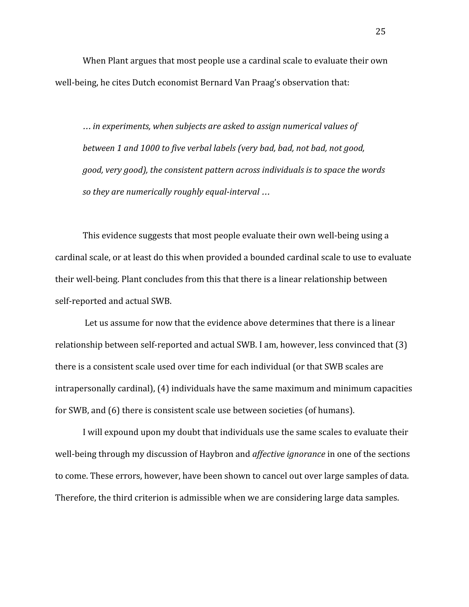When Plant argues that most people use a cardinal scale to evaluate their own well-being, he cites Dutch economist Bernard Van Praag's observation that:

… *in experiments, when subjects are asked to assign numerical values of between 1 and 1000 to five verbal labels (very bad, bad, not bad, not good, good, very good), the consistent pattern across individuals is to space the words so they are numerically roughly equal-interval* …

This evidence suggests that most people evaluate their own well-being using a cardinal scale, or at least do this when provided a bounded cardinal scale to use to evaluate their well-being. Plant concludes from this that there is a linear relationship between self-reported and actual SWB.

 Let us assume for now that the evidence above determines that there is a linear relationship between self-reported and actual SWB. I am, however, less convinced that (3) there is a consistent scale used over time for each individual (or that SWB scales are intrapersonally cardinal), (4) individuals have the same maximum and minimum capacities for SWB, and (6) there is consistent scale use between societies (of humans).

I will expound upon my doubt that individuals use the same scales to evaluate their well-being through my discussion of Haybron and *affective ignorance* in one of the sections to come. These errors, however, have been shown to cancel out over large samples of data. Therefore, the third criterion is admissible when we are considering large data samples.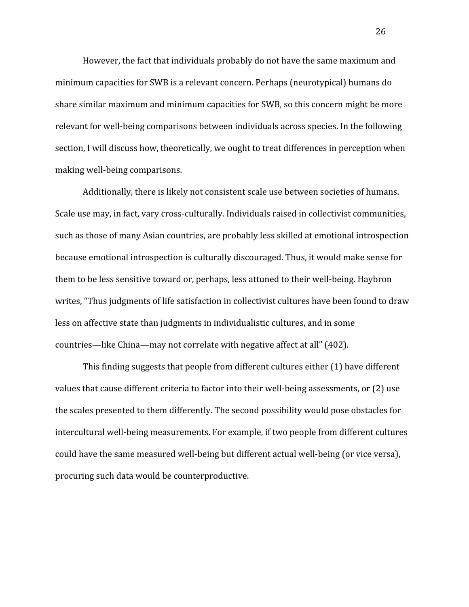However, the fact that individuals probably do not have the same maximum and minimum capacities for SWB is a relevant concern. Perhaps (neurotypical) humans do share similar maximum and minimum capacities for SWB, so this concern might be more relevant for well-being comparisons between individuals across species. In the following section, I will discuss how, theoretically, we ought to treat differences in perception when making well-being comparisons.

Additionally, there is likely not consistent scale use between societies of humans. Scale use may, in fact, vary cross-culturally. Individuals raised in collectivist communities, such as those of many Asian countries, are probably less skilled at emotional introspection because emotional introspection is culturally discouraged. Thus, it would make sense for them to be less sensitive toward or, perhaps, less attuned to their well-being. Haybron writes, "Thus judgments of life satisfaction in collectivist cultures have been found to draw less on affective state than judgments in individualistic cultures, and in some countries—like China—may not correlate with negative affect at all" (402).

This finding suggests that people from different cultures either (1) have different values that cause different criteria to factor into their well-being assessments, or (2) use the scales presented to them differently. The second possibility would pose obstacles for intercultural well-being measurements. For example, if two people from different cultures could have the same measured well-being but different actual well-being (or vice versa), procuring such data would be counterproductive.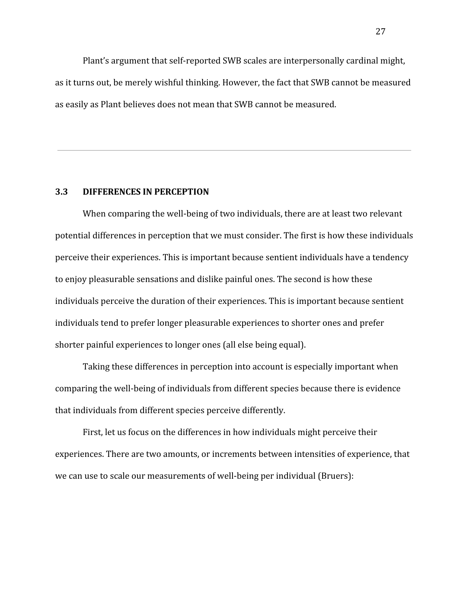Plant's argument that self-reported SWB scales are interpersonally cardinal might, as it turns out, be merely wishful thinking. However, the fact that SWB cannot be measured as easily as Plant believes does not mean that SWB cannot be measured.

## **3.3 DIFFERENCES IN PERCEPTION**

When comparing the well-being of two individuals, there are at least two relevant potential differences in perception that we must consider. The first is how these individuals perceive their experiences. This is important because sentient individuals have a tendency to enjoy pleasurable sensations and dislike painful ones. The second is how these individuals perceive the duration of their experiences. This is important because sentient individuals tend to prefer longer pleasurable experiences to shorter ones and prefer shorter painful experiences to longer ones (all else being equal).

Taking these differences in perception into account is especially important when comparing the well-being of individuals from different species because there is evidence that individuals from different species perceive differently.

First, let us focus on the differences in how individuals might perceive their experiences. There are two amounts, or increments between intensities of experience, that we can use to scale our measurements of well-being per individual (Bruers):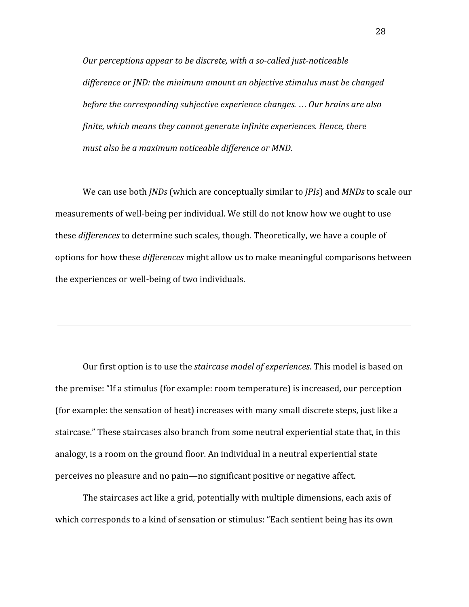*Our perceptions appear to be discrete, with a so-called just-noticeable difference or JND: the minimum amount an objective stimulus must be changed before the corresponding subjective experience changes.* … *Our brains are also finite, which means they cannot generate infinite experiences. Hence, there must also be a maximum noticeable difference or MND.*

We can use both *JNDs* (which are conceptually similar to *JPIs*) and *MNDs* to scale our measurements of well-being per individual. We still do not know how we ought to use these *differences* to determine such scales, though. Theoretically, we have a couple of options for how these *differences* might allow us to make meaningful comparisons between the experiences or well-being of two individuals.

Our first option is to use the *staircase model of experiences*. This model is based on the premise: "If a stimulus (for example: room temperature) is increased, our perception (for example: the sensation of heat) increases with many small discrete steps, just like a staircase." These staircases also branch from some neutral experiential state that, in this analogy, is a room on the ground floor. An individual in a neutral experiential state perceives no pleasure and no pain—no significant positive or negative affect.

The staircases act like a grid, potentially with multiple dimensions, each axis of which corresponds to a kind of sensation or stimulus: "Each sentient being has its own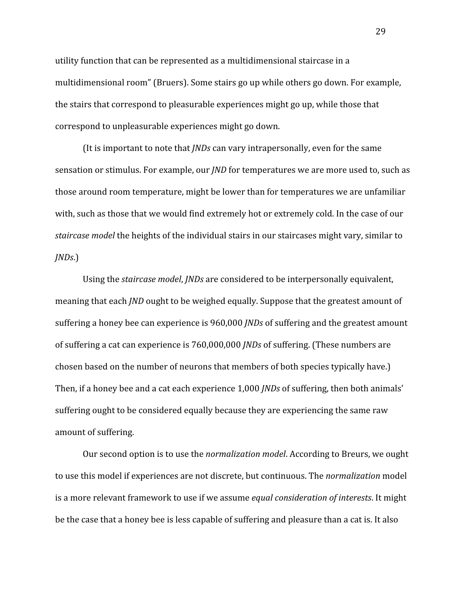utility function that can be represented as a multidimensional staircase in a multidimensional room" (Bruers). Some stairs go up while others go down. For example, the stairs that correspond to pleasurable experiences might go up, while those that correspond to unpleasurable experiences might go down.

(It is important to note that *JNDs* can vary intrapersonally, even for the same sensation or stimulus. For example, our *JND* for temperatures we are more used to, such as those around room temperature, might be lower than for temperatures we are unfamiliar with, such as those that we would find extremely hot or extremely cold. In the case of our *staircase model* the heights of the individual stairs in our staircases might vary, similar to *JNDs*.)

Using the *staircase model*, *JNDs* are considered to be interpersonally equivalent, meaning that each *JND* ought to be weighed equally. Suppose that the greatest amount of suffering a honey bee can experience is 960,000 *JNDs* of suffering and the greatest amount of suffering a cat can experience is 760,000,000 *JNDs* of suffering. (These numbers are chosen based on the number of neurons that members of both species typically have.) Then, if a honey bee and a cat each experience 1,000 *JNDs* of suffering, then both animals' suffering ought to be considered equally because they are experiencing the same raw amount of suffering.

Our second option is to use the *normalization model*. According to Breurs, we ought to use this model if experiences are not discrete, but continuous. The *normalization* model is a more relevant framework to use if we assume *equal consideration of interests*. It might be the case that a honey bee is less capable of suffering and pleasure than a cat is. It also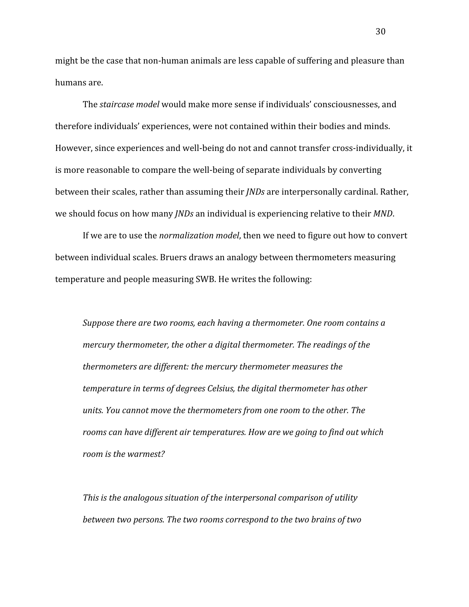might be the case that non-human animals are less capable of suffering and pleasure than humans are.

The *staircase model* would make more sense if individuals' consciousnesses, and therefore individuals' experiences, were not contained within their bodies and minds. However, since experiences and well-being do not and cannot transfer cross-individually, it is more reasonable to compare the well-being of separate individuals by converting between their scales, rather than assuming their *JNDs* are interpersonally cardinal. Rather, we should focus on how many *JNDs* an individual is experiencing relative to their *MND*.

If we are to use the *normalization model*, then we need to figure out how to convert between individual scales. Bruers draws an analogy between thermometers measuring temperature and people measuring SWB. He writes the following:

*Suppose there are two rooms, each having a thermometer. One room contains a mercury thermometer, the other a digital thermometer. The readings of the thermometers are different: the mercury thermometer measures the temperature in terms of degrees Celsius, the digital thermometer has other units. You cannot move the thermometers from one room to the other. The rooms can have different air temperatures. How are we going to find out which room is the warmest?*

*This is the analogous situation of the interpersonal comparison of utility between two persons. The two rooms correspond to the two brains of two* 30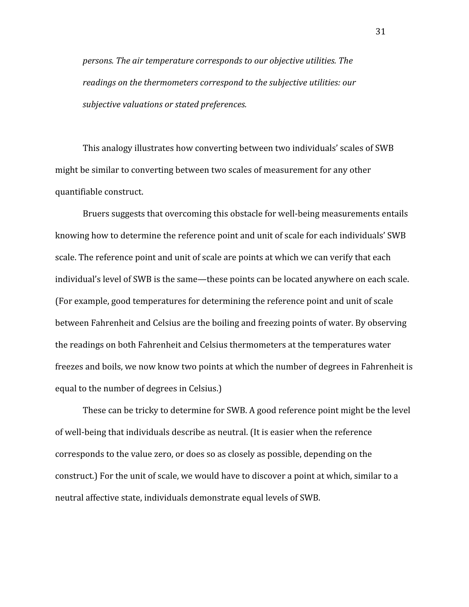*persons. The air temperature corresponds to our objective utilities. The readings on the thermometers correspond to the subjective utilities: our subjective valuations or stated preferences.*

This analogy illustrates how converting between two individuals' scales of SWB might be similar to converting between two scales of measurement for any other quantifiable construct.

Bruers suggests that overcoming this obstacle for well-being measurements entails knowing how to determine the reference point and unit of scale for each individuals' SWB scale. The reference point and unit of scale are points at which we can verify that each individual's level of SWB is the same—these points can be located anywhere on each scale. (For example, good temperatures for determining the reference point and unit of scale between Fahrenheit and Celsius are the boiling and freezing points of water. By observing the readings on both Fahrenheit and Celsius thermometers at the temperatures water freezes and boils, we now know two points at which the number of degrees in Fahrenheit is equal to the number of degrees in Celsius.)

These can be tricky to determine for SWB. A good reference point might be the level of well-being that individuals describe as neutral. (It is easier when the reference corresponds to the value zero, or does so as closely as possible, depending on the construct.) For the unit of scale, we would have to discover a point at which, similar to a neutral affective state, individuals demonstrate equal levels of SWB.

31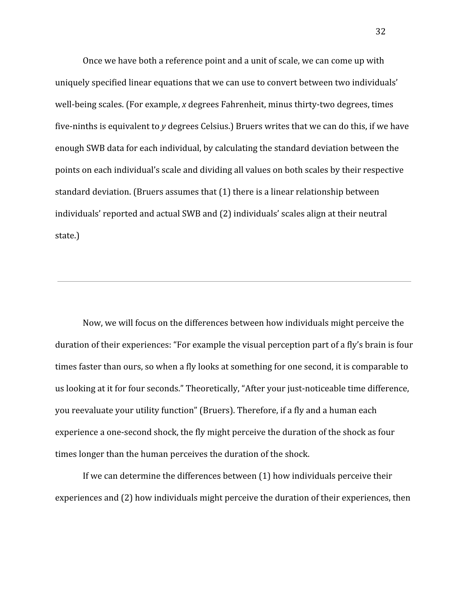Once we have both a reference point and a unit of scale, we can come up with uniquely specified linear equations that we can use to convert between two individuals' well-being scales. (For example, *x* degrees Fahrenheit, minus thirty-two degrees, times five-ninths is equivalent to *y* degrees Celsius.) Bruers writes that we can do this, if we have enough SWB data for each individual, by calculating the standard deviation between the points on each individual's scale and dividing all values on both scales by their respective standard deviation. (Bruers assumes that (1) there is a linear relationship between individuals' reported and actual SWB and (2) individuals' scales align at their neutral state.)

Now, we will focus on the differences between how individuals might perceive the duration of their experiences: "For example the visual perception part of a fly's brain is four times faster than ours, so when a fly looks at something for one second, it is comparable to us looking at it for four seconds." Theoretically, "After your just-noticeable time difference, you reevaluate your utility function" (Bruers). Therefore, if a fly and a human each experience a one-second shock, the fly might perceive the duration of the shock as four times longer than the human perceives the duration of the shock.

If we can determine the differences between (1) how individuals perceive their experiences and (2) how individuals might perceive the duration of their experiences, then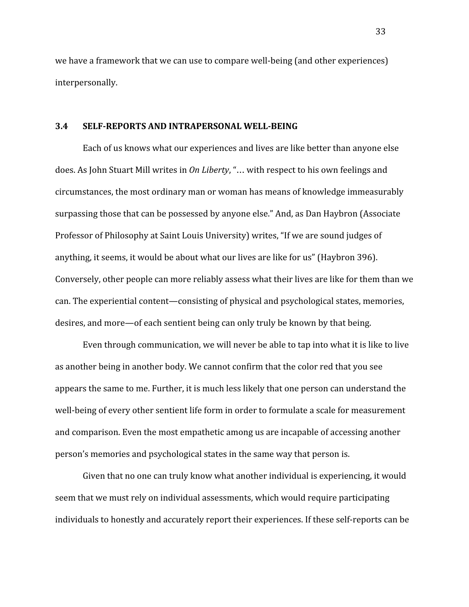we have a framework that we can use to compare well-being (and other experiences) interpersonally.

#### **3.4 SELF-REPORTS AND INTRAPERSONAL WELL-BEING**

Each of us knows what our experiences and lives are like better than anyone else does. As John Stuart Mill writes in *On Liberty*, "… with respect to his own feelings and circumstances, the most ordinary man or woman has means of knowledge immeasurably surpassing those that can be possessed by anyone else." And, as Dan Haybron (Associate Professor of Philosophy at Saint Louis University) writes, "If we are sound judges of anything, it seems, it would be about what our lives are like for us" (Haybron 396). Conversely, other people can more reliably assess what their lives are like for them than we can. The experiential content—consisting of physical and psychological states, memories, desires, and more—of each sentient being can only truly be known by that being.

Even through communication, we will never be able to tap into what it is like to live as another being in another body. We cannot confirm that the color red that you see appears the same to me. Further, it is much less likely that one person can understand the well-being of every other sentient life form in order to formulate a scale for measurement and comparison. Even the most empathetic among us are incapable of accessing another person's memories and psychological states in the same way that person is.

Given that no one can truly know what another individual is experiencing, it would seem that we must rely on individual assessments, which would require participating individuals to honestly and accurately report their experiences. If these self-reports can be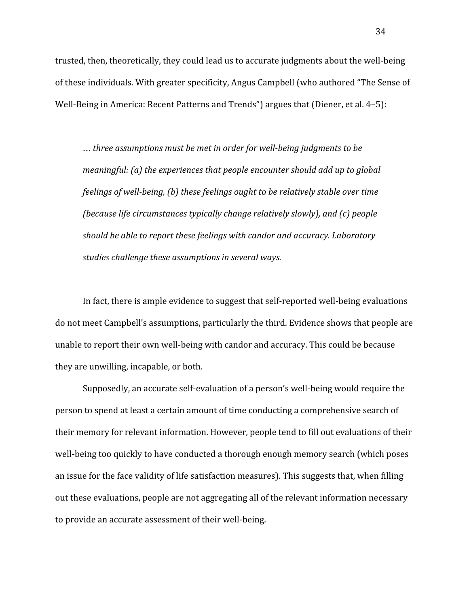trusted, then, theoretically, they could lead us to accurate judgments about the well-being of these individuals. With greater specificity, Angus Campbell (who authored "The Sense of Well-Being in America: Recent Patterns and Trends") argues that (Diener, et al. 4–5):

… *three assumptions must be met in order for well-being judgments to be meaningful: (a) the experiences that people encounter should add up to global feelings of well-being, (b) these feelings ought to be relatively stable over time (because life circumstances typically change relatively slowly), and (c) people should be able to report these feelings with candor and accuracy. Laboratory studies challenge these assumptions in several ways.*

In fact, there is ample evidence to suggest that self-reported well-being evaluations do not meet Campbell's assumptions, particularly the third. Evidence shows that people are unable to report their own well-being with candor and accuracy. This could be because they are unwilling, incapable, or both.

Supposedly, an accurate self-evaluation of a person's well-being would require the person to spend at least a certain amount of time conducting a comprehensive search of their memory for relevant information. However, people tend to fill out evaluations of their well-being too quickly to have conducted a thorough enough memory search (which poses an issue for the face validity of life satisfaction measures). This suggests that, when filling out these evaluations, people are not aggregating all of the relevant information necessary to provide an accurate assessment of their well-being.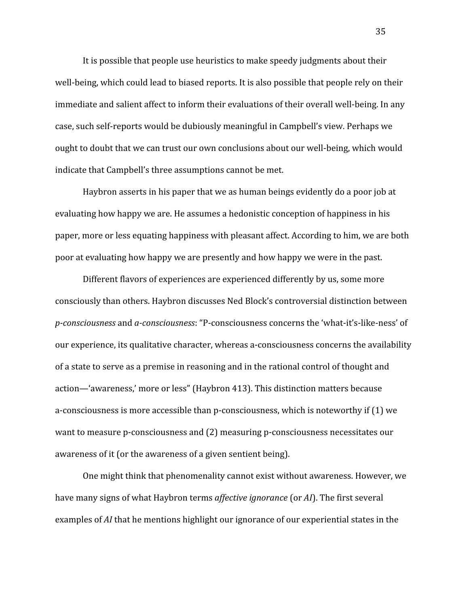It is possible that people use heuristics to make speedy judgments about their well-being, which could lead to biased reports. It is also possible that people rely on their immediate and salient affect to inform their evaluations of their overall well-being. In any case, such self-reports would be dubiously meaningful in Campbell's view. Perhaps we ought to doubt that we can trust our own conclusions about our well-being, which would indicate that Campbell's three assumptions cannot be met.

Haybron asserts in his paper that we as human beings evidently do a poor job at evaluating how happy we are. He assumes a hedonistic conception of happiness in his paper, more or less equating happiness with pleasant affect. According to him, we are both poor at evaluating how happy we are presently and how happy we were in the past.

Different flavors of experiences are experienced differently by us, some more consciously than others. Haybron discusses Ned Block's controversial distinction between *p-consciousness* and *a-consciousness*: "P-consciousness concerns the 'what-it's-like-ness' of our experience, its qualitative character, whereas a-consciousness concerns the availability of a state to serve as a premise in reasoning and in the rational control of thought and action—'awareness,' more or less" (Haybron 413). This distinction matters because a-consciousness is more accessible than p-consciousness, which is noteworthy if (1) we want to measure p-consciousness and (2) measuring p-consciousness necessitates our awareness of it (or the awareness of a given sentient being).

One might think that phenomenality cannot exist without awareness. However, we have many signs of what Haybron terms *affective ignorance* (or *AI*). The first several examples of *AI* that he mentions highlight our ignorance of our experiential states in the

35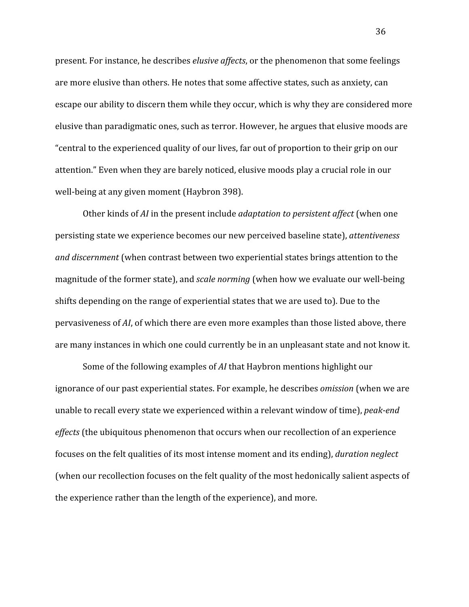present. For instance, he describes *elusive affects*, or the phenomenon that some feelings are more elusive than others. He notes that some affective states, such as anxiety, can escape our ability to discern them while they occur, which is why they are considered more elusive than paradigmatic ones, such as terror. However, he argues that elusive moods are "central to the experienced quality of our lives, far out of proportion to their grip on our attention." Even when they are barely noticed, elusive moods play a crucial role in our well-being at any given moment (Haybron 398).

Other kinds of *AI* in the present include *adaptation to persistent affect* (when one persisting state we experience becomes our new perceived baseline state), *attentiveness and discernment* (when contrast between two experiential states brings attention to the magnitude of the former state), and *scale norming* (when how we evaluate our well-being shifts depending on the range of experiential states that we are used to). Due to the pervasiveness of *AI*, of which there are even more examples than those listed above, there are many instances in which one could currently be in an unpleasant state and not know it.

Some of the following examples of *AI* that Haybron mentions highlight our ignorance of our past experiential states. For example, he describes *omission* (when we are unable to recall every state we experienced within a relevant window of time), *peak-end effects* (the ubiquitous phenomenon that occurs when our recollection of an experience focuses on the felt qualities of its most intense moment and its ending), *duration neglect* (when our recollection focuses on the felt quality of the most hedonically salient aspects of the experience rather than the length of the experience), and more.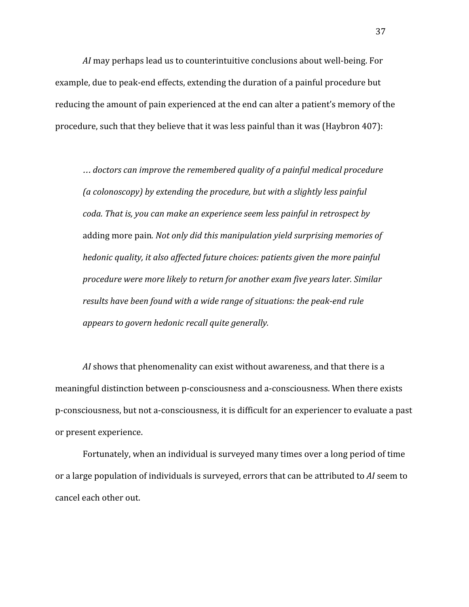*AI* may perhaps lead us to counterintuitive conclusions about well-being. For example, due to peak-end effects, extending the duration of a painful procedure but reducing the amount of pain experienced at the end can alter a patient's memory of the procedure, such that they believe that it was less painful than it was (Haybron 407):

… *doctors can improve the remembered quality of a painful medical procedure (a colonoscopy) by extending the procedure, but with a slightly less painful coda. That is, you can make an experience seem less painful in retrospect by* adding more pain*. Not only did this manipulation yield surprising memories of hedonic quality, it also affected future choices: patients given the more painful procedure were more likely to return for another exam five years later. Similar results have been found with a wide range of situations: the peak-end rule appears to govern hedonic recall quite generally.*

*AI* shows that phenomenality can exist without awareness, and that there is a meaningful distinction between p-consciousness and a-consciousness. When there exists p-consciousness, but not a-consciousness, it is difficult for an experiencer to evaluate a past or present experience.

Fortunately, when an individual is surveyed many times over a long period of time or a large population of individuals is surveyed, errors that can be attributed to *AI* seem to cancel each other out.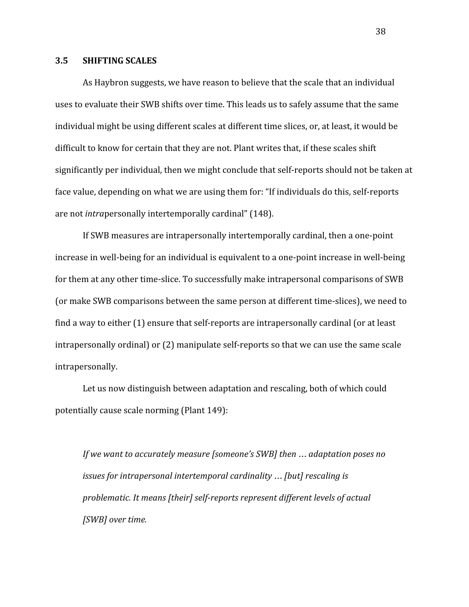#### **3.5 SHIFTING SCALES**

As Haybron suggests, we have reason to believe that the scale that an individual uses to evaluate their SWB shifts over time. This leads us to safely assume that the same individual might be using different scales at different time slices, or, at least, it would be difficult to know for certain that they are not. Plant writes that, if these scales shift significantly per individual, then we might conclude that self-reports should not be taken at face value, depending on what we are using them for: "If individuals do this, self-reports are not *intra*personally intertemporally cardinal" (148).

If SWB measures are intrapersonally intertemporally cardinal, then a one-point increase in well-being for an individual is equivalent to a one-point increase in well-being for them at any other time-slice. To successfully make intrapersonal comparisons of SWB (or make SWB comparisons between the same person at different time-slices), we need to find a way to either (1) ensure that self-reports are intrapersonally cardinal (or at least intrapersonally ordinal) or (2) manipulate self-reports so that we can use the same scale intrapersonally.

Let us now distinguish between adaptation and rescaling, both of which could potentially cause scale norming (Plant 149):

*If we want to accurately measure [someone's SWB] then* … *adaptation poses no issues for intrapersonal intertemporal cardinality* … *[but] rescaling is problematic. It means [their] self-reports represent different levels of actual [SWB] over time.*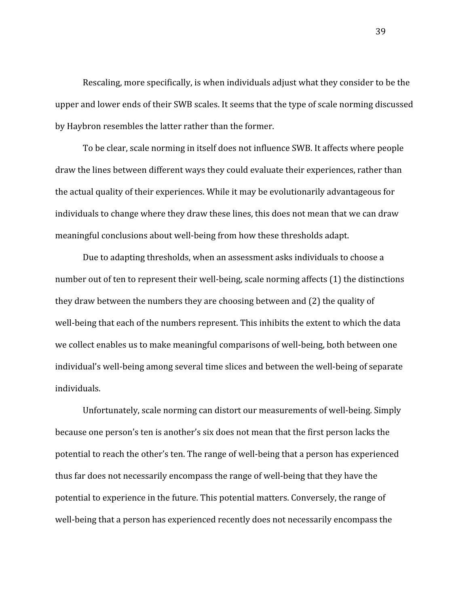Rescaling, more specifically, is when individuals adjust what they consider to be the upper and lower ends of their SWB scales. It seems that the type of scale norming discussed by Haybron resembles the latter rather than the former.

To be clear, scale norming in itself does not influence SWB. It affects where people draw the lines between different ways they could evaluate their experiences, rather than the actual quality of their experiences. While it may be evolutionarily advantageous for individuals to change where they draw these lines, this does not mean that we can draw meaningful conclusions about well-being from how these thresholds adapt.

Due to adapting thresholds, when an assessment asks individuals to choose a number out of ten to represent their well-being, scale norming affects (1) the distinctions they draw between the numbers they are choosing between and (2) the quality of well-being that each of the numbers represent. This inhibits the extent to which the data we collect enables us to make meaningful comparisons of well-being, both between one individual's well-being among several time slices and between the well-being of separate individuals.

Unfortunately, scale norming can distort our measurements of well-being. Simply because one person's ten is another's six does not mean that the first person lacks the potential to reach the other's ten. The range of well-being that a person has experienced thus far does not necessarily encompass the range of well-being that they have the potential to experience in the future. This potential matters. Conversely, the range of well-being that a person has experienced recently does not necessarily encompass the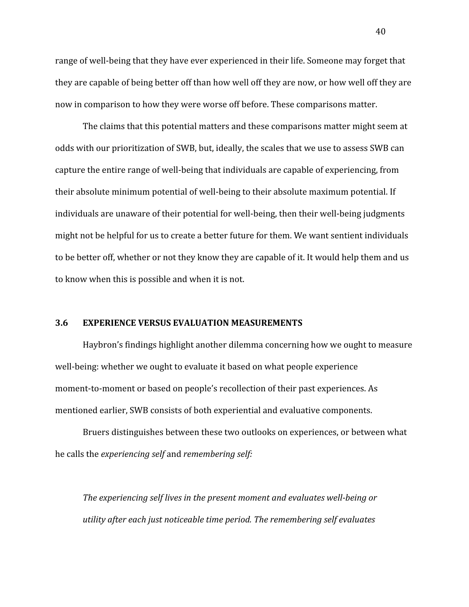range of well-being that they have ever experienced in their life. Someone may forget that they are capable of being better off than how well off they are now, or how well off they are now in comparison to how they were worse off before. These comparisons matter.

The claims that this potential matters and these comparisons matter might seem at odds with our prioritization of SWB, but, ideally, the scales that we use to assess SWB can capture the entire range of well-being that individuals are capable of experiencing, from their absolute minimum potential of well-being to their absolute maximum potential. If individuals are unaware of their potential for well-being, then their well-being judgments might not be helpful for us to create a better future for them. We want sentient individuals to be better off, whether or not they know they are capable of it. It would help them and us to know when this is possible and when it is not.

#### **3.6 EXPERIENCE VERSUS EVALUATION MEASUREMENTS**

Haybron's findings highlight another dilemma concerning how we ought to measure well-being: whether we ought to evaluate it based on what people experience moment-to-moment or based on people's recollection of their past experiences. As mentioned earlier, SWB consists of both experiential and evaluative components.

Bruers distinguishes between these two outlooks on experiences, or between what he calls the *experiencing self* and *remembering self:*

*The experiencing self lives in the present moment and evaluates well-being or utility after each just noticeable time period. The remembering self evaluates*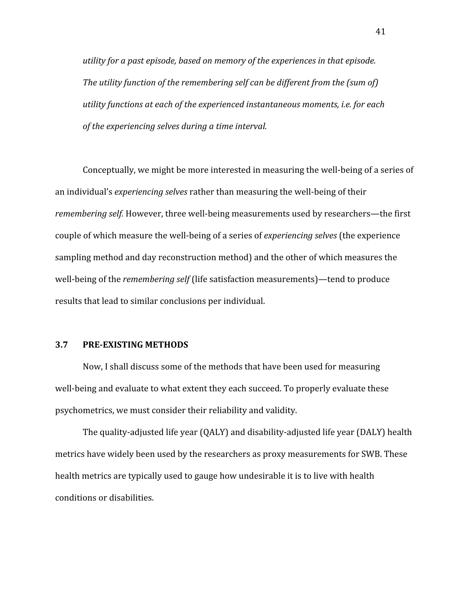*utility for a past episode, based on memory of the experiences in that episode. The utility function of the remembering self can be different from the (sum of) utility functions at each of the experienced instantaneous moments, i.e. for each of the experiencing selves during a time interval.*

Conceptually, we might be more interested in measuring the well-being of a series of an individual's *experiencing selves* rather than measuring the well-being of their *remembering self.* However, three well-being measurements used by researchers—the first couple of which measure the well-being of a series of *experiencing selves* (the experience sampling method and day reconstruction method) and the other of which measures the well-being of the *remembering self* (life satisfaction measurements)—tend to produce results that lead to similar conclusions per individual.

#### **3.7 PRE-EXISTING METHODS**

Now, I shall discuss some of the methods that have been used for measuring well-being and evaluate to what extent they each succeed. To properly evaluate these psychometrics, we must consider their reliability and validity.

The quality-adjusted life year (QALY) and disability-adjusted life year (DALY) health metrics have widely been used by the researchers as proxy measurements for SWB. These health metrics are typically used to gauge how undesirable it is to live with health conditions or disabilities.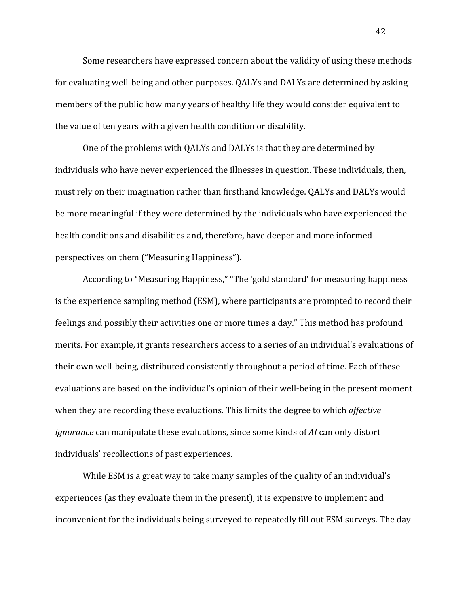Some researchers have expressed concern about the validity of using these methods for evaluating well-being and other purposes. QALYs and DALYs are determined by asking members of the public how many years of healthy life they would consider equivalent to the value of ten years with a given health condition or disability.

One of the problems with QALYs and DALYs is that they are determined by individuals who have never experienced the illnesses in question. These individuals, then, must rely on their imagination rather than firsthand knowledge. QALYs and DALYs would be more meaningful if they were determined by the individuals who have experienced the health conditions and disabilities and, therefore, have deeper and more informed perspectives on them ("Measuring Happiness").

According to "Measuring Happiness," "The 'gold standard' for measuring happiness is the experience sampling method (ESM), where participants are prompted to record their feelings and possibly their activities one or more times a day." This method has profound merits. For example, it grants researchers access to a series of an individual's evaluations of their own well-being, distributed consistently throughout a period of time. Each of these evaluations are based on the individual's opinion of their well-being in the present moment when they are recording these evaluations. This limits the degree to which *affective ignorance* can manipulate these evaluations, since some kinds of *AI* can only distort individuals' recollections of past experiences.

While ESM is a great way to take many samples of the quality of an individual's experiences (as they evaluate them in the present), it is expensive to implement and inconvenient for the individuals being surveyed to repeatedly fill out ESM surveys. The day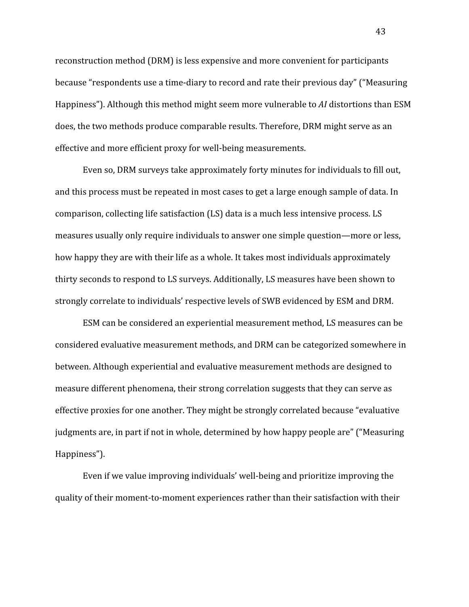reconstruction method (DRM) is less expensive and more convenient for participants because "respondents use a time-diary to record and rate their previous day" ("Measuring Happiness"). Although this method might seem more vulnerable to *AI* distortions than ESM does, the two methods produce comparable results. Therefore, DRM might serve as an effective and more efficient proxy for well-being measurements.

Even so, DRM surveys take approximately forty minutes for individuals to fill out, and this process must be repeated in most cases to get a large enough sample of data. In comparison, collecting life satisfaction (LS) data is a much less intensive process. LS measures usually only require individuals to answer one simple question—more or less, how happy they are with their life as a whole. It takes most individuals approximately thirty seconds to respond to LS surveys. Additionally, LS measures have been shown to strongly correlate to individuals' respective levels of SWB evidenced by ESM and DRM.

ESM can be considered an experiential measurement method, LS measures can be considered evaluative measurement methods, and DRM can be categorized somewhere in between. Although experiential and evaluative measurement methods are designed to measure different phenomena, their strong correlation suggests that they can serve as effective proxies for one another. They might be strongly correlated because "evaluative judgments are, in part if not in whole, determined by how happy people are" ("Measuring Happiness").

Even if we value improving individuals' well-being and prioritize improving the quality of their moment-to-moment experiences rather than their satisfaction with their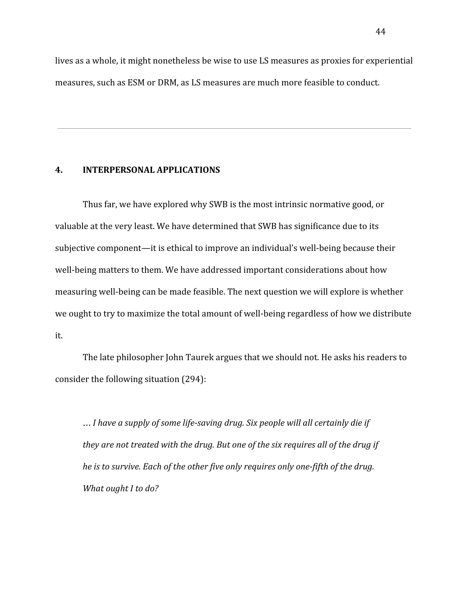lives as a whole, it might nonetheless be wise to use LS measures as proxies for experiential measures, such as ESM or DRM, as LS measures are much more feasible to conduct.

#### **4. INTERPERSONAL APPLICATIONS**

Thus far, we have explored why SWB is the most intrinsic normative good, or valuable at the very least. We have determined that SWB has significance due to its subjective component—it is ethical to improve an individual's well-being because their well-being matters to them. We have addressed important considerations about how measuring well-being can be made feasible. The next question we will explore is whether we ought to try to maximize the total amount of well-being regardless of how we distribute it.

The late philosopher John Taurek argues that we should not. He asks his readers to consider the following situation (294):

… *I have a supply of some life-saving drug. Six people will all certainly die if they are not treated with the drug. But one of the six requires all of the drug if he is to survive. Each of the other five only requires only one-fifth of the drug. What ought I to do?*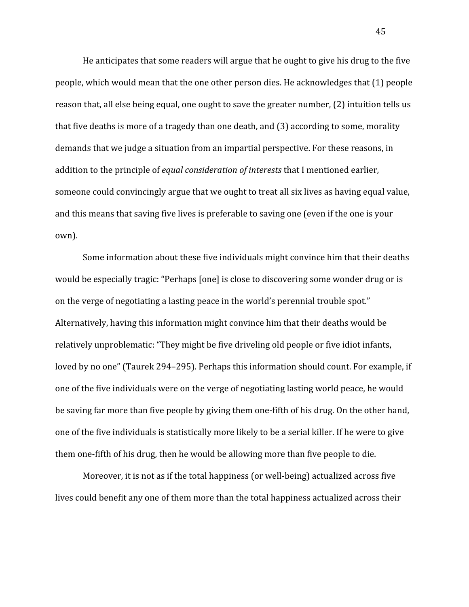He anticipates that some readers will argue that he ought to give his drug to the five people, which would mean that the one other person dies. He acknowledges that (1) people reason that, all else being equal, one ought to save the greater number, (2) intuition tells us that five deaths is more of a tragedy than one death, and (3) according to some, morality demands that we judge a situation from an impartial perspective. For these reasons, in addition to the principle of *equal consideration of interests* that I mentioned earlier, someone could convincingly argue that we ought to treat all six lives as having equal value, and this means that saving five lives is preferable to saving one (even if the one is your own).

Some information about these five individuals might convince him that their deaths would be especially tragic: "Perhaps [one] is close to discovering some wonder drug or is on the verge of negotiating a lasting peace in the world's perennial trouble spot." Alternatively, having this information might convince him that their deaths would be relatively unproblematic: "They might be five driveling old people or five idiot infants, loved by no one" (Taurek 294–295). Perhaps this information should count. For example, if one of the five individuals were on the verge of negotiating lasting world peace, he would be saving far more than five people by giving them one-fifth of his drug. On the other hand, one of the five individuals is statistically more likely to be a serial killer. If he were to give them one-fifth of his drug, then he would be allowing more than five people to die.

Moreover, it is not as if the total happiness (or well-being) actualized across five lives could benefit any one of them more than the total happiness actualized across their

45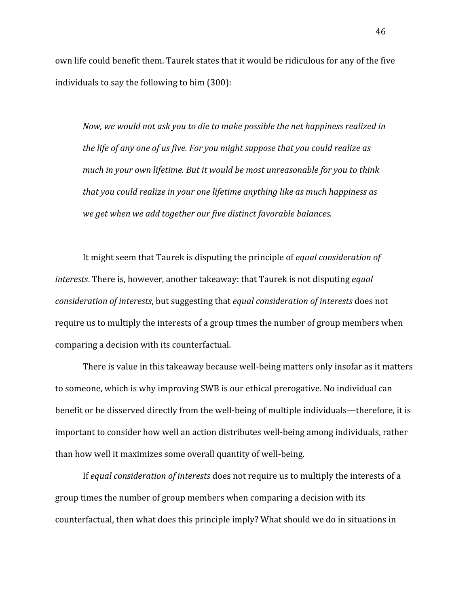own life could benefit them. Taurek states that it would be ridiculous for any of the five individuals to say the following to him (300):

*Now, we would not ask you to die to make possible the net happiness realized in the life of any one of us five. For you might suppose that you could realize as much in your own lifetime. But it would be most unreasonable for you to think that you could realize in your one lifetime anything like as much happiness as we get when we add together our five distinct favorable balances.*

It might seem that Taurek is disputing the principle of *equal consideration of interests*. There is, however, another takeaway: that Taurek is not disputing *equal consideration of interests*, but suggesting that *equal consideration of interests* does not require us to multiply the interests of a group times the number of group members when comparing a decision with its counterfactual.

There is value in this takeaway because well-being matters only insofar as it matters to someone, which is why improving SWB is our ethical prerogative. No individual can benefit or be disserved directly from the well-being of multiple individuals—therefore, it is important to consider how well an action distributes well-being among individuals, rather than how well it maximizes some overall quantity of well-being.

If *equal consideration of interests* does not require us to multiply the interests of a group times the number of group members when comparing a decision with its counterfactual, then what does this principle imply? What should we do in situations in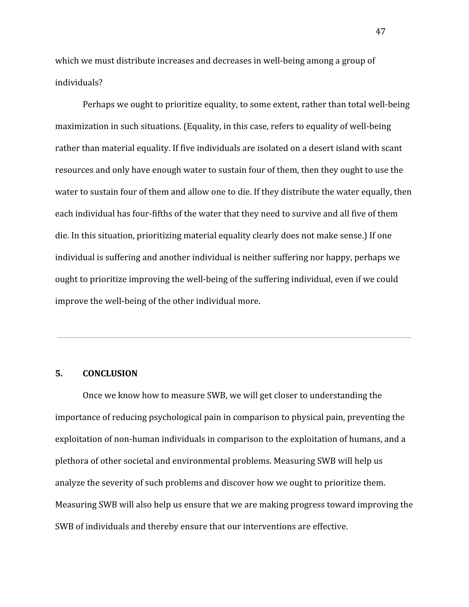which we must distribute increases and decreases in well-being among a group of individuals?

Perhaps we ought to prioritize equality, to some extent, rather than total well-being maximization in such situations. (Equality, in this case, refers to equality of well-being rather than material equality. If five individuals are isolated on a desert island with scant resources and only have enough water to sustain four of them, then they ought to use the water to sustain four of them and allow one to die. If they distribute the water equally, then each individual has four-fifths of the water that they need to survive and all five of them die. In this situation, prioritizing material equality clearly does not make sense.) If one individual is suffering and another individual is neither suffering nor happy, perhaps we ought to prioritize improving the well-being of the suffering individual, even if we could improve the well-being of the other individual more.

## **5. CONCLUSION**

Once we know how to measure SWB, we will get closer to understanding the importance of reducing psychological pain in comparison to physical pain, preventing the exploitation of non-human individuals in comparison to the exploitation of humans, and a plethora of other societal and environmental problems. Measuring SWB will help us analyze the severity of such problems and discover how we ought to prioritize them. Measuring SWB will also help us ensure that we are making progress toward improving the SWB of individuals and thereby ensure that our interventions are effective.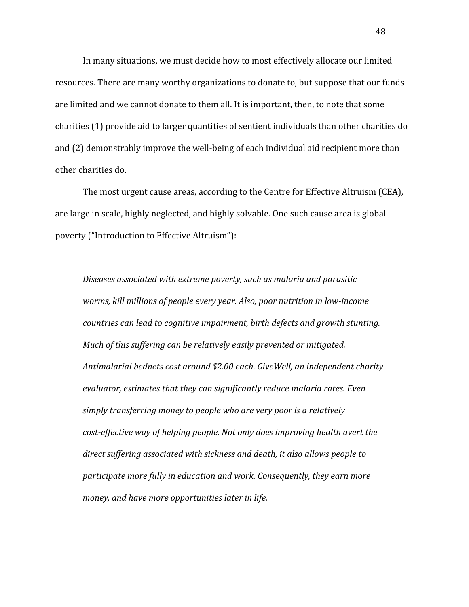In many situations, we must decide how to most effectively allocate our limited resources. There are many worthy organizations to donate to, but suppose that our funds are limited and we cannot donate to them all. It is important, then, to note that some charities (1) provide aid to larger quantities of sentient individuals than other charities do and (2) demonstrably improve the well-being of each individual aid recipient more than other charities do.

The most urgent cause areas, according to the Centre for Effective Altruism (CEA), are large in scale, highly neglected, and highly solvable. One such cause area is global poverty ("Introduction to Effective Altruism"):

*Diseases associated with extreme poverty, such as malaria and parasitic worms, kill millions of people every year. Also, poor nutrition in low-income countries can lead to cognitive impairment, birth defects and growth stunting. Much of this suffering can be relatively easily prevented or mitigated. Antimalarial bednets cost around \$2.00 each. GiveWell, an independent charity evaluator, estimates that they can significantly reduce malaria rates. Even simply transferring money to people who are very poor is a relatively cost-effective way of helping people. Not only does improving health avert the direct suffering associated with sickness and death, it also allows people to participate more fully in education and work. Consequently, they earn more money, and have more opportunities later in life.*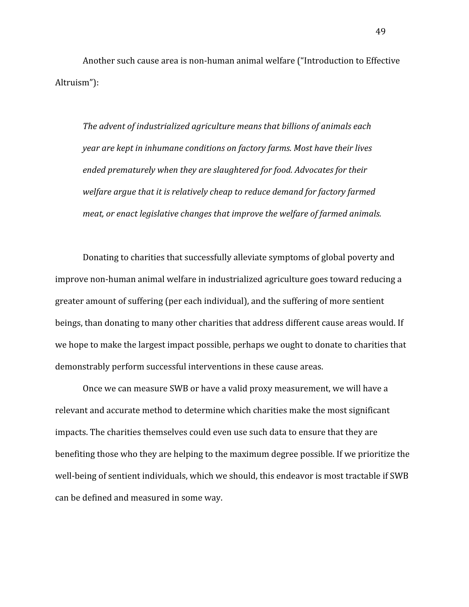Another such cause area is non-human animal welfare ("Introduction to Effective Altruism"):

*The advent of industrialized agriculture means that billions of animals each year are kept in inhumane conditions on factory farms. Most have their lives ended prematurely when they are slaughtered for food. Advocates for their welfare argue that it is relatively cheap to reduce demand for factory farmed meat, or enact legislative changes that improve the welfare of farmed animals.*

Donating to charities that successfully alleviate symptoms of global poverty and improve non-human animal welfare in industrialized agriculture goes toward reducing a greater amount of suffering (per each individual), and the suffering of more sentient beings, than donating to many other charities that address different cause areas would. If we hope to make the largest impact possible, perhaps we ought to donate to charities that demonstrably perform successful interventions in these cause areas.

Once we can measure SWB or have a valid proxy measurement, we will have a relevant and accurate method to determine which charities make the most significant impacts. The charities themselves could even use such data to ensure that they are benefiting those who they are helping to the maximum degree possible. If we prioritize the well-being of sentient individuals, which we should, this endeavor is most tractable if SWB can be defined and measured in some way.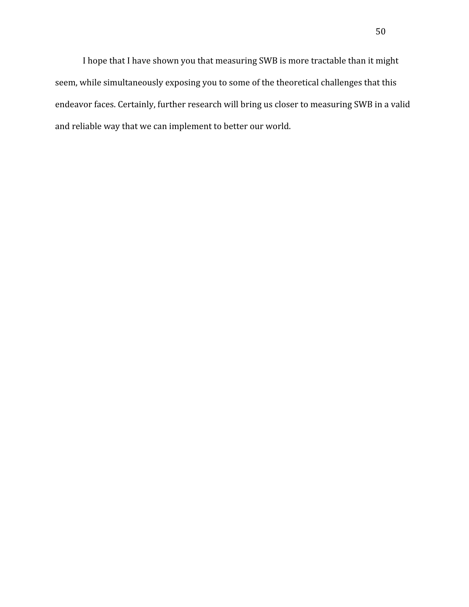I hope that I have shown you that measuring SWB is more tractable than it might seem, while simultaneously exposing you to some of the theoretical challenges that this endeavor faces. Certainly, further research will bring us closer to measuring SWB in a valid and reliable way that we can implement to better our world.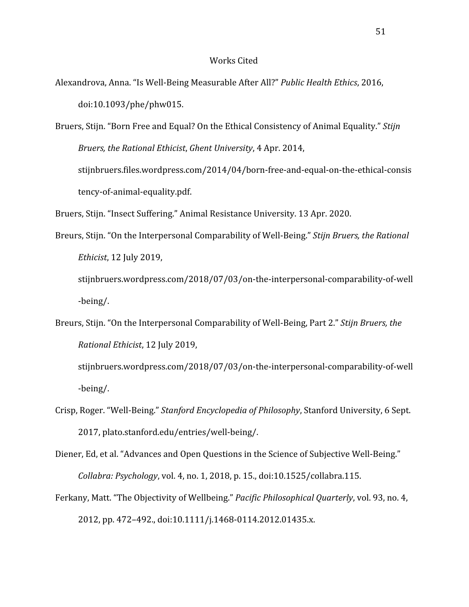#### Works Cited

Alexandrova, Anna. "Is Well-Being Measurable After All?" *Public Health Ethics*, 2016, doi:10.1093/phe/phw015.

Bruers, Stijn. "Born Free and Equal? On the Ethical Consistency of Animal Equality." *Stijn Bruers, the Rational Ethicist*, *Ghent University*, 4 Apr. 2014, stijnbruers.files.wordpress.com/2014/04/born-free-and-equal-on-the-ethical-consis tency-of-animal-equality.pdf.

Bruers, Stijn. "Insect Suffering." Animal Resistance University. 13 Apr. 2020.

Breurs, Stijn. "On the Interpersonal Comparability of Well-Being." *Stijn Bruers, the Rational Ethicist*, 12 July 2019,

stijnbruers.wordpress.com/2018/07/03/on-the-interpersonal-comparability-of-well -being/.

Breurs, Stijn. "On the Interpersonal Comparability of Well-Being, Part 2." *Stijn Bruers, the Rational Ethicist*, 12 July 2019,

stijnbruers.wordpress.com/2018/07/03/on-the-interpersonal-comparability-of-well -being/.

Crisp, Roger. "Well-Being." *Stanford Encyclopedia of Philosophy*, Stanford University, 6 Sept. 2017, plato.stanford.edu/entries/well-being/.

Diener, Ed, et al. "Advances and Open Questions in the Science of Subjective Well-Being." *Collabra: Psychology*, vol. 4, no. 1, 2018, p. 15., doi:10.1525/collabra.115.

Ferkany, Matt. "The Objectivity of Wellbeing." *Pacific Philosophical Quarterly*, vol. 93, no. 4, 2012, pp. 472–492., doi:10.1111/j.1468-0114.2012.01435.x.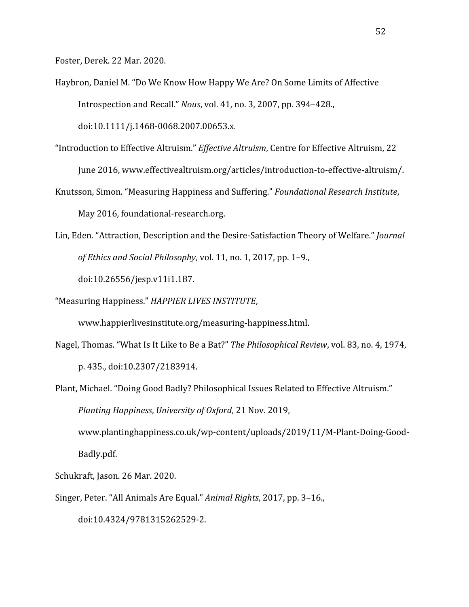Foster, Derek. 22 Mar. 2020.

- Haybron, Daniel M. "Do We Know How Happy We Are? On Some Limits of Affective Introspection and Recall." *Nous*, vol. 41, no. 3, 2007, pp. 394–428., doi:10.1111/j.1468-0068.2007.00653.x.
- "Introduction to Effective Altruism." *Effective Altruism*, Centre for Effective Altruism, 22 June 2016, www.effectivealtruism.org/articles/introduction-to-effective-altruism/.
- Knutsson, Simon. "Measuring Happiness and Suffering." *Foundational Research Institute*, May 2016, foundational-research.org.
- Lin, Eden. "Attraction, Description and the Desire-Satisfaction Theory of Welfare." *Journal of Ethics and Social Philosophy*, vol. 11, no. 1, 2017, pp. 1–9.,

doi:10.26556/jesp.v11i1.187.

"Measuring Happiness." *HAPPIER LIVES INSTITUTE*,

www.happierlivesinstitute.org/measuring-happiness.html.

- Nagel, Thomas. "What Is It Like to Be a Bat?" *The Philosophical Review*, vol. 83, no. 4, 1974, p. 435., doi:10.2307/2183914.
- Plant, Michael. "Doing Good Badly? Philosophical Issues Related to Effective Altruism." *Planting Happiness*, *University of Oxford*, 21 Nov. 2019,

www.plantinghappiness.co.uk/wp-content/uploads/2019/11/M-Plant-Doing-Good-Badly.pdf.

Schukraft, Jason. 26 Mar. 2020.

Singer, Peter. "All Animals Are Equal." *Animal Rights*, 2017, pp. 3–16.,

doi:10.4324/9781315262529-2.